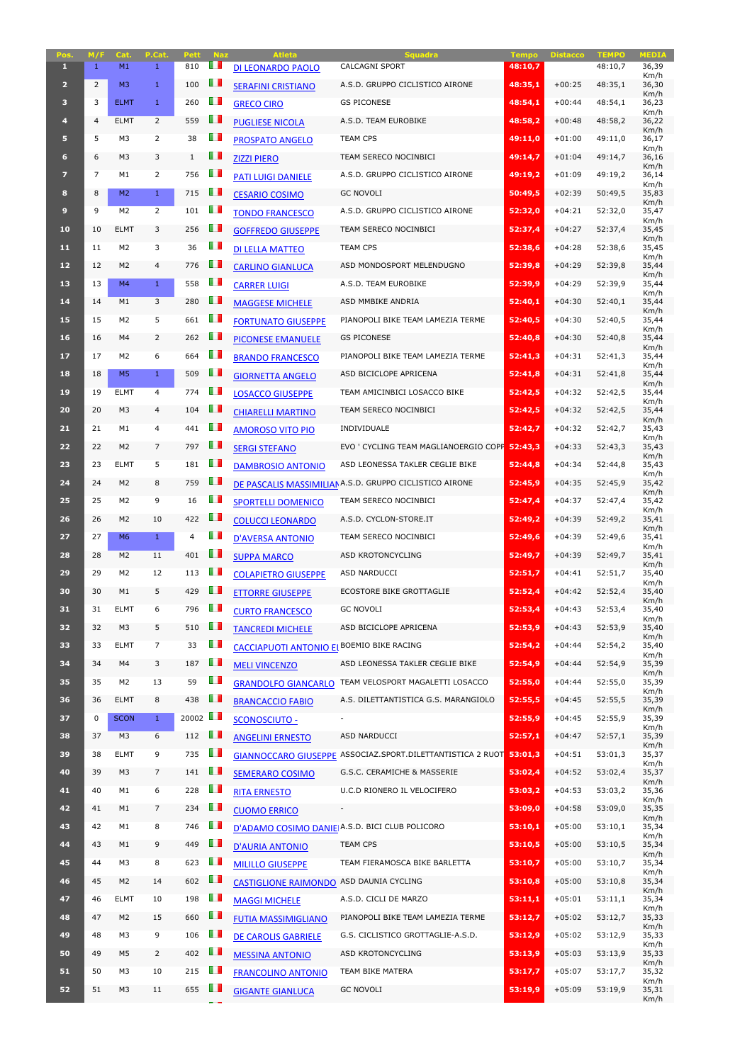| Pos.                    | M/F            | Cat.           | P.Cat.         | <b>Pett</b>          | <b>Naz</b>     | <b>Atleta</b>                                    | <b>Squadra</b>                                                     | <b>Tempo</b> | <b>Distacco</b> | <b>TEMPO</b> | <b>MEDIA</b>  |
|-------------------------|----------------|----------------|----------------|----------------------|----------------|--------------------------------------------------|--------------------------------------------------------------------|--------------|-----------------|--------------|---------------|
| $\mathbf{1}$            | 1              | M1             | $\mathbf{1}$   | 810                  | ш              | <b>DI LEONARDO PAOLO</b>                         | <b>CALCAGNI SPORT</b>                                              | 48:10,7      |                 | 48:10,7      | 36,39         |
| $\overline{2}$          | $\overline{2}$ | M <sub>3</sub> | $\mathbf{1}$   | 100                  | O D            | <b>SERAFINI CRISTIANO</b>                        | A.S.D. GRUPPO CICLISTICO AIRONE                                    | 48:35,1      | $+00:25$        | 48:35,1      | Km/h<br>36,30 |
| $\overline{\mathbf{3}}$ | 3              | <b>ELMT</b>    | $\mathbf{1}$   | 260                  | m              | <b>GRECO CIRO</b>                                | <b>GS PICONESE</b>                                                 | 48:54,1      | $+00:44$        | 48:54,1      | Km/h<br>36,23 |
| $\overline{4}$          | $\overline{4}$ | <b>ELMT</b>    | $\overline{2}$ | 559                  | O D            | <b>PUGLIESE NICOLA</b>                           | A.S.D. TEAM EUROBIKE                                               | 48:58,2      | $+00:48$        | 48:58,2      | Km/h<br>36,22 |
| 5                       | 5              | M3             | $\overline{2}$ | 38                   | w              | <b>PROSPATO ANGELO</b>                           | <b>TEAM CPS</b>                                                    | 49:11,0      | $+01:00$        | 49:11,0      | Km/h<br>36,17 |
| $6 \overline{6}$        | 6              | M <sub>3</sub> | 3              | $\mathbf{1}$         | Œ              | <b>ZIZZI PIERO</b>                               | TEAM SERECO NOCINBICI                                              | 49:14.7      | $+01:04$        | 49:14,7      | Km/h<br>36,16 |
| $\overline{7}$          | $\overline{7}$ | M1             | $\mathbf{2}$   | 756                  | Œ              | <b>PATI LUIGI DANIELE</b>                        | A.S.D. GRUPPO CICLISTICO AIRONE                                    | 49:19,2      | $+01:09$        | 49:19,2      | Km/h<br>36,14 |
| 8                       | 8              | M <sub>2</sub> | $\mathbf{1}$   | 715                  | Œ              | <b>CESARIO COSIMO</b>                            | <b>GC NOVOLI</b>                                                   | 50:49,5      | $+02:39$        | 50:49,5      | Km/h<br>35,83 |
| $\mathbf{9}$            | 9              | M <sub>2</sub> | $\overline{2}$ | 101                  | $\blacksquare$ | <b>TONDO FRANCESCO</b>                           | A.S.D. GRUPPO CICLISTICO AIRONE                                    | 52:32,0      | $+04:21$        | 52:32,0      | Km/h<br>35,47 |
| 10                      | 10             | <b>ELMT</b>    | 3              | 256                  | Œ              |                                                  | TEAM SERECO NOCINBICI                                              | 52:37,4      | $+04:27$        | 52:37,4      | Km/h<br>35,45 |
| 11                      | 11             | M <sub>2</sub> | 3              | 36                   | m              | <b>GOFFREDO GIUSEPPE</b>                         | <b>TEAM CPS</b>                                                    |              | $+04:28$        |              | Km/h          |
|                         |                |                |                |                      | ш              | <b>DI LELLA MATTEO</b>                           |                                                                    | 52:38,6      |                 | 52:38,6      | 35,45<br>Km/h |
| 12                      | 12             | M <sub>2</sub> | $\overline{4}$ | 776                  |                | <b>CARLINO GIANLUCA</b>                          | ASD MONDOSPORT MELENDUGNO                                          | 52:39,8      | $+04:29$        | 52:39.8      | 35,44<br>Km/h |
| 13                      | 13             | M4             | $\mathbf{1}$   | 558                  | ш              | <b>CARRER LUIGI</b>                              | A.S.D. TEAM EUROBIKE                                               | 52:39,9      | $+04:29$        | 52:39,9      | 35,44<br>Km/h |
| 14                      | 14             | M1             | 3              | 280                  | OП             | <b>MAGGESE MICHELE</b>                           | ASD MMBIKE ANDRIA                                                  | 52:40,1      | $+04:30$        | 52:40,1      | 35,44<br>Km/h |
| 15                      | 15             | M <sub>2</sub> | 5              | 661                  | <b>TI</b>      | <b>FORTUNATO GIUSEPPE</b>                        | PIANOPOLI BIKE TEAM LAMEZIA TERME                                  | 52:40,5      | $+04:30$        | 52:40,5      | 35,44<br>Km/h |
| 16                      | 16             | M4             | $\overline{2}$ | 262                  | ш              | <b>PICONESE EMANUELE</b>                         | <b>GS PICONESE</b>                                                 | 52:40,8      | $+04:30$        | 52:40,8      | 35,44<br>Km/h |
| 17 <sup>2</sup>         | 17             | M <sub>2</sub> | 6              | 664                  | O D            | <b>BRANDO FRANCESCO</b>                          | PIANOPOLI BIKE TEAM LAMEZIA TERME                                  | 52:41,3      | $+04:31$        | 52:41,3      | 35,44<br>Km/h |
| 18                      | 18             | M <sub>5</sub> | $\mathbf{1}$   | 509                  | <b>THE</b>     | <b>GIORNETTA ANGELO</b>                          | ASD BICICLOPE APRICENA                                             | 52:41,8      | $+04:31$        | 52:41,8      | 35,44<br>Km/h |
| 19                      | 19             | <b>ELMT</b>    | $\overline{4}$ | 774                  | O D            | <b>LOSACCO GIUSEPPE</b>                          | TEAM AMICINBICI LOSACCO BIKE                                       | 52:42,5      | $+04:32$        | 52:42,5      | 35,44<br>Km/h |
| 20                      | 20             | M <sub>3</sub> | 4              | 104                  | u p            | <b>CHIARELLI MARTINO</b>                         | TEAM SERECO NOCINBICI                                              | 52:42,5      | $+04:32$        | 52:42,5      | 35,44<br>Km/h |
| 21                      | 21             | M1             | 4              | 441                  | <b>TI</b>      | <b>AMOROSO VITO PIO</b>                          | INDIVIDUALE                                                        | 52:42,7      | $+04:32$        | 52:42,7      | 35,43         |
| 22                      | 22             | M <sub>2</sub> | 7              | 797                  |                | <b>SERGI STEFANO</b>                             | EVO ' CYCLING TEAM MAGLIANOERGIO COPP 52:43,3                      |              | $+04:33$        | 52:43,3      | Km/h<br>35,43 |
| 23                      | 23             | <b>ELMT</b>    | 5              | 181                  | U D            | <b>DAMBROSIO ANTONIO</b>                         | ASD LEONESSA TAKLER CEGLIE BIKE                                    | 52:44,8      | $+04:34$        | 52:44,8      | Km/h<br>35,43 |
| 24                      | 24             | M <sub>2</sub> | 8              | 759                  | LП             |                                                  | DE PASCALIS MASSIMILIANA.S.D. GRUPPO CICLISTICO AIRONE             | 52:45,9      | $+04:35$        | 52:45,9      | Km/h<br>35,42 |
| 25                      | 25             | M <sub>2</sub> | 9              | 16                   | ш              | <b>SPORTELLI DOMENICO</b>                        | TEAM SERECO NOCINBICI                                              | 52:47,4      | $+04:37$        | 52:47,4      | Km/h<br>35,42 |
| 26                      | 26             | M <sub>2</sub> | 10             | 422                  | ш              | <b>COLUCCI LEONARDO</b>                          | A.S.D. CYCLON-STORE.IT                                             | 52:49,2      | $+04:39$        | 52:49,2      | Km/h<br>35,41 |
| 27                      | 27             | M <sub>6</sub> | $\mathbf{1}$   | $\overline{4}$       | m              | <b>D'AVERSA ANTONIO</b>                          | TEAM SERECO NOCINBICI                                              | 52:49,6      | $+04:39$        | 52:49,6      | Km/h<br>35,41 |
| 28                      | 28             | M <sub>2</sub> | 11             | 401                  | O D            | <b>SUPPA MARCO</b>                               | ASD KROTONCYCLING                                                  | 52:49,7      | $+04:39$        | 52:49,7      | Km/h<br>35,41 |
| 29                      | 29             | M2             | 12             | 113                  | Ш              | <b>COLAPIETRO GIUSEPPE</b>                       | ASD NARDUCCI                                                       | 52:51,7      | $+04:41$        | 52:51,7      | Km/h<br>35,40 |
| 30                      | 30             | M1             | 5              | 429                  | ш              | <b>ETTORRE GIUSEPPE</b>                          | ECOSTORE BIKE GROTTAGLIE                                           | 52:52,4      | $+04:42$        | 52:52,4      | Km/h<br>35,40 |
| 31                      | 31             | <b>ELMT</b>    | 6              | 796                  | $\blacksquare$ | <b>CURTO FRANCESCO</b>                           | <b>GC NOVOLI</b>                                                   | 52:53,4      | $+04:43$        | 52:53,4      | Km/h<br>35,40 |
| 32                      | 32             | M <sub>3</sub> | 5              | 510                  | $\blacksquare$ | <b>TANCREDI MICHELE</b>                          | ASD BICICLOPE APRICENA                                             | 52:53,9      | $+04:43$        | 52:53,9      | Km/h<br>35,40 |
| 33                      | 33             | <b>ELMT</b>    | 7              | 33                   | H.             | <b>CACCIAPUOTI ANTONIO EL BOEMIO BIKE RACING</b> |                                                                    | 52:54,2      | $+04:44$        | 52:54,2      | Km/h<br>35,40 |
| 34                      | 34             | M4             | 3              | 187                  | O D            |                                                  | ASD LEONESSA TAKLER CEGLIE BIKE                                    | 52:54,9      | $+04:44$        | 52:54,9      | Km/h<br>35,39 |
| 35                      | 35             | M2             | 13             | 59                   | Œ              | <b>MELI VINCENZO</b>                             | TEAM VELOSPORT MAGALETTI LOSACCO                                   | 52:55,0      | $+04:44$        | 52:55,0      | Km/h          |
|                         |                |                |                |                      | ш              | <b>GRANDOLFO GIANCARLO</b>                       |                                                                    |              |                 |              | 35,39<br>Km/h |
| 36                      | 36             | <b>ELMT</b>    | 8              | 438                  |                | <b>BRANCACCIO FABIO</b>                          | A.S. DILETTANTISTICA G.S. MARANGIOLO                               | 52:55,5      | $+04:45$        | 52:55,5      | 35,39<br>Km/h |
| 37                      | 0              | <b>SCON</b>    | $\mathbf{1}$   | 20002 $\blacksquare$ | U I            | <b>SCONOSCIUTO -</b>                             |                                                                    | 52:55,9      | $+04:45$        | 52:55,9      | 35,39<br>Km/h |
| 38                      | 37             | M <sub>3</sub> | 6              | 112                  |                | <b>ANGELINI ERNESTO</b>                          | ASD NARDUCCI                                                       | 52:57,1      | $+04:47$        | 52:57,1      | 35,39<br>Km/h |
| 39                      | 38             | <b>ELMT</b>    | 9              | 735                  | <b>TI</b>      |                                                  | GIANNOCCARO GIUSEPPE ASSOCIAZ.SPORT.DILETTANTISTICA 2 RUOT 53:01,3 |              | $+04:51$        | 53:01.3      | 35,37<br>Km/h |
| 40                      | 39             | M <sub>3</sub> | 7              | 141                  | U I            | <b>SEMERARO COSIMO</b>                           | G.S.C. CERAMICHE & MASSERIE                                        | 53:02,4      | $+04:52$        | 53:02,4      | 35,37<br>Km/h |
| 41                      | 40             | M1             | 6              | 228                  | U I            | <b>RITA ERNESTO</b>                              | U.C.D RIONERO IL VELOCIFERO                                        | 53:03,2      | $+04:53$        | 53:03,2      | 35,36<br>Km/h |
| 42                      | 41             | M1             | 7              | 234                  | Ш              | <b>CUOMO ERRICO</b>                              |                                                                    | 53:09,0      | $+04:58$        | 53:09,0      | 35,35<br>Km/h |
| 43                      | 42             | M1             | 8              | 746                  | O D            |                                                  | D'ADAMO COSIMO DANIE A.S.D. BICI CLUB POLICORO                     | 53:10,1      | $+05:00$        | 53:10,1      | 35,34<br>Km/h |
| 44                      | 43             | M1             | 9              | 449                  | <b>III</b>     | <b>D'AURIA ANTONIO</b>                           | TEAM CPS                                                           | 53:10,5      | $+05:00$        | 53:10,5      | 35,34<br>Km/h |
| 45                      | 44             | M3             | 8              | 623                  | $\blacksquare$ | <b>MILILLO GIUSEPPE</b>                          | TEAM FIERAMOSCA BIKE BARLETTA                                      | 53:10,7      | $+05:00$        | 53:10,7      | 35,34<br>Km/h |
| 46                      | 45             | M <sub>2</sub> | 14             | 602                  | ш              | <b>CASTIGLIONE RAIMONDO</b>                      | ASD DAUNIA CYCLING                                                 | 53:10,8      | $+05:00$        | 53:10,8      | 35,34<br>Km/h |
| 47                      | 46             | <b>ELMT</b>    | 10             | 198                  | O D            | <b>MAGGI MICHELE</b>                             | A.S.D. CICLI DE MARZO                                              | 53:11,1      | $+05:01$        | 53:11,1      | 35,34         |
| 48                      | 47             | M <sub>2</sub> | 15             | 660                  | H.             | <b>FUTIA MASSIMIGLIANO</b>                       | PIANOPOLI BIKE TEAM LAMEZIA TERME                                  | 53:12,7      | $+05:02$        | 53:12,7      | Km/h<br>35,33 |
| 49                      | 48             | M3             | 9              | 106                  | H.             | <b>DE CAROLIS GABRIELE</b>                       | G.S. CICLISTICO GROTTAGLIE-A.S.D.                                  | 53:12,9      | $+05:02$        | 53:12,9      | Km/h<br>35,33 |
| 50                      | 49             | M <sub>5</sub> | $\overline{2}$ | 402                  | U.             | <b>MESSINA ANTONIO</b>                           | ASD KROTONCYCLING                                                  | 53:13,9      | $+05:03$        | 53:13,9      | Km/h<br>35,33 |
| 51                      | 50             | M3             | 10             | 215                  | O D            | <b>FRANCOLINO ANTONIO</b>                        | TEAM BIKE MATERA                                                   | 53:17,7      | $+05:07$        | 53:17,7      | Km/h<br>35,32 |
| 52                      | 51             | M3             | 11             | 655                  | Œ              | <b>GIGANTE GIANLUCA</b>                          | <b>GC NOVOLI</b>                                                   | 53:19,9      | $+05:09$        | 53:19,9      | Km/h<br>35,31 |
|                         |                |                |                |                      |                |                                                  |                                                                    |              |                 |              | Km/h          |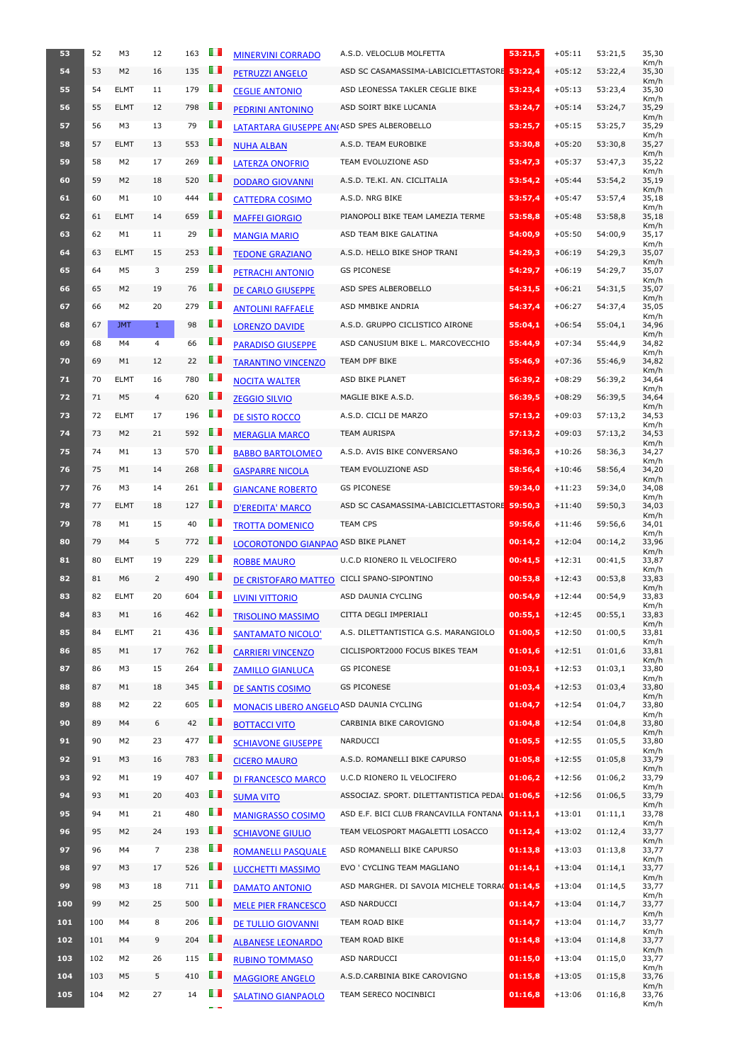| 53  | 52  | M <sub>3</sub> | 12             | 163 | O D            | <b>MINERVINI CORRADO</b>                          | A.S.D. VELOCLUB MOLFETTA                                                     | 53:21.5            | $+05:11$ | 53:21,5            | 35,30<br>Km/h |
|-----|-----|----------------|----------------|-----|----------------|---------------------------------------------------|------------------------------------------------------------------------------|--------------------|----------|--------------------|---------------|
| 54  | 53  | M <sub>2</sub> | 16             | 135 | OП             | <b>PETRUZZI ANGELO</b>                            | ASD SC CASAMASSIMA-LABICICLETTASTORE 53:22,4                                 |                    | $+05:12$ | 53:22,4            | 35,30<br>Km/h |
| 55  | 54  | <b>ELMT</b>    | 11             | 179 | $\blacksquare$ | <b>CEGLIE ANTONIO</b>                             | ASD LEONESSA TAKLER CEGLIE BIKE                                              | 53:23,4            | $+05:13$ | 53:23,4            | 35,30<br>Km/h |
| 56  | 55  | <b>ELMT</b>    | 12             | 798 | $\blacksquare$ | <b>PEDRINI ANTONINO</b>                           | ASD SOIRT BIKE LUCANIA                                                       | 53:24,7            | $+05:14$ | 53:24,7            | 35,29<br>Km/h |
| 57  | 56  | M3             | 13             | 79  | $\blacksquare$ | <b>LATARTARA GIUSEPPE AN(ASD SPES ALBEROBELLO</b> |                                                                              | 53:25,7            | $+05:15$ | 53:25,7            | 35,29<br>Km/h |
| 58  | 57  | <b>ELMT</b>    | 13             | 553 | OП             | <b>NUHA ALBAN</b>                                 | A.S.D. TEAM EUROBIKE                                                         | 53:30,8            | $+05:20$ | 53:30,8            | 35,27<br>Km/h |
| 59  | 58  | M <sub>2</sub> | 17             | 269 | H              | <b>LATERZA ONOFRIO</b>                            | TEAM EVOLUZIONE ASD                                                          | 53:47,3            | $+05:37$ | 53:47,3            | 35,22<br>Km/h |
| 60  | 59  | M <sub>2</sub> | 18             | 520 | $\blacksquare$ | <b>DODARO GIOVANNI</b>                            | A.S.D. TE.KI. AN. CICLITALIA                                                 | 53:54,2            | $+05:44$ | 53:54,2            | 35,19         |
| 61  | 60  | M1             | 10             | 444 | H.             | <b>CATTEDRA COSIMO</b>                            | A.S.D. NRG BIKE                                                              | 53:57,4            | $+05:47$ | 53:57,4            | Km/h<br>35,18 |
| 62  | 61  | <b>ELMT</b>    | 14             | 659 | <b>TI</b>      | <b>MAFFEI GIORGIO</b>                             | PIANOPOLI BIKE TEAM LAMEZIA TERME                                            | 53:58,8            | $+05:48$ | 53:58,8            | Km/h<br>35,18 |
| 63  | 62  | M1             | 11             | 29  | Ш              | <b>MANGIA MARIO</b>                               | ASD TEAM BIKE GALATINA                                                       | 54:00,9            | $+05:50$ | 54:00.9            | Km/h<br>35,17 |
| 64  | 63  | <b>ELMT</b>    | 15             | 253 | U I            | <b>TEDONE GRAZIANO</b>                            | A.S.D. HELLO BIKE SHOP TRANI                                                 | 54:29,3            | $+06:19$ | 54:29,3            | Km/h<br>35,07 |
| 65  | 64  | M5             | 3              | 259 | <b>TILL</b>    | PETRACHI ANTONIO                                  | <b>GS PICONESE</b>                                                           | 54:29,7            | $+06:19$ | 54:29,7            | Km/h<br>35,07 |
| 66  | 65  | M <sub>2</sub> | 19             | 76  | H              | <b>DE CARLO GIUSEPPE</b>                          | ASD SPES ALBEROBELLO                                                         | 54:31,5            | $+06:21$ | 54:31,5            | Km/h<br>35,07 |
| 67  | 66  | M2             | 20             | 279 | $\blacksquare$ | <b>ANTOLINI RAFFAELE</b>                          | ASD MMBIKE ANDRIA                                                            | 54:37,4            | $+06:27$ | 54:37,4            | Km/h<br>35,05 |
| 68  | 67  | <b>JMT</b>     | $\mathbf{1}$   | 98  | $\blacksquare$ | <b>LORENZO DAVIDE</b>                             | A.S.D. GRUPPO CICLISTICO AIRONE                                              | 55:04,1            | $+06:54$ | 55:04,1            | Km/h<br>34,96 |
| 69  | 68  | M4             | $\overline{4}$ | 66  | $\blacksquare$ | <b>PARADISO GIUSEPPE</b>                          | ASD CANUSIUM BIKE L. MARCOVECCHIO                                            | 55:44,9            | $+07:34$ | 55:44,9            | Km/h<br>34,82 |
| 70  | 69  | M1             | 12             | 22  | $\blacksquare$ | <b>TARANTINO VINCENZO</b>                         | TEAM DPF BIKE                                                                | 55:46,9            | $+07:36$ | 55:46,9            | Km/h<br>34,82 |
| 71  | 70  | <b>ELMT</b>    | 16             | 780 | $\blacksquare$ | <b>NOCITA WALTER</b>                              | ASD BIKE PLANET                                                              | 56:39,2            | $+08:29$ | 56:39,2            | Km/h<br>34,64 |
| 72  | 71  | M <sub>5</sub> | 4              | 620 | m              | <b>ZEGGIO SILVIO</b>                              | MAGLIE BIKE A.S.D.                                                           | 56:39,5            | $+08:29$ | 56:39,5            | Km/h<br>34,64 |
| 73  | 72  | <b>ELMT</b>    | 17             | 196 | l I            | DE SISTO ROCCO                                    | A.S.D. CICLI DE MARZO                                                        | 57:13,2            | $+09:03$ | 57:13,2            | Km/h<br>34,53 |
| 74  | 73  | M <sub>2</sub> | 21             | 592 | <b>TI</b>      | <b>MERAGLIA MARCO</b>                             | <b>TEAM AURISPA</b>                                                          | 57:13,2            | $+09:03$ | 57:13,2            | Km/h<br>34,53 |
| 75  | 74  | M1             | 13             | 570 | ш              | <b>BABBO BARTOLOMEO</b>                           | A.S.D. AVIS BIKE CONVERSANO                                                  | 58:36,3            | $+10:26$ | 58:36,3            | Km/h<br>34,27 |
| 76  | 75  | M1             | 14             | 268 | Ш              | <b>GASPARRE NICOLA</b>                            | TEAM EVOLUZIONE ASD                                                          | 58:56.4            | $+10:46$ | 58:56,4            | Km/h<br>34,20 |
| 77  | 76  | M3             | 14             | 261 | IΙ             | <b>GIANCANE ROBERTO</b>                           | <b>GS PICONESE</b>                                                           | 59:34,0            | $+11:23$ | 59:34,0            | Km/h<br>34,08 |
| 78  | 77  | <b>ELMT</b>    | 18             | 127 | $\blacksquare$ | <b>D'EREDITA' MARCO</b>                           | ASD SC CASAMASSIMA-LABICICLETTASTORE 59:50,3                                 |                    | $+11:40$ | 59:50,3            | Km/h<br>34,03 |
| 79  | 78  | M1             | 15             | 40  | O D            | <b>TROTTA DOMENICO</b>                            | <b>TEAM CPS</b>                                                              | 59:56,6            | $+11:46$ | 59:56,6            | Km/h<br>34,01 |
| 80  | 79  | M4             | 5              | 772 | uп             | LOCOROTONDO GIANPAO ASD BIKE PLANET               |                                                                              | 00:14,2            | $+12:04$ | 00:14,2            | Km/h<br>33,96 |
| 81  | 80  | <b>ELMT</b>    | 19             | 229 | $\blacksquare$ | <b>ROBBE MAURO</b>                                | U.C.D RIONERO IL VELOCIFERO                                                  | 00:41,5            | $+12:31$ | 00:41,5            | Km/h<br>33,87 |
| 82  | 81  | M <sub>6</sub> | 2              | 490 | OП             | DE CRISTOFARO MATTEO                              | CICLI SPANO-SIPONTINO                                                        | 00:53,8            | $+12:43$ | 00:53,8            | Km/h<br>33,83 |
| 83  | 82  | <b>ELMT</b>    | 20             | 604 | $\blacksquare$ | <b>LIVINI VITTORIO</b>                            | ASD DAUNIA CYCLING                                                           | 00:54,9            | $+12:44$ | 00:54,9            | Km/h<br>33,83 |
| 84  | 83  | M1             | 16             | 462 | H              | <b>TRISOLINO MASSIMO</b>                          | CITTA DEGLI IMPERIALI                                                        | 00:55,1            | $+12:45$ | 00:55,1            | Km/h<br>33,83 |
| 85  | 84  | <b>ELMT</b>    | 21             | 436 | m              | <b>SANTAMATO NICOLO'</b>                          | A.S. DILETTANTISTICA G.S. MARANGIOLO                                         | 01:00,5            | $+12:50$ | 01:00,5            | Km/h<br>33,81 |
| 86  | 85  | M1             | 17             | 762 | $\blacksquare$ | <b>CARRIERI VINCENZO</b>                          | CICLISPORT2000 FOCUS BIKES TEAM                                              | 01:01,6            | $+12:51$ | 01:01,6            | Km/h<br>33,81 |
| 87  | 86  | M3             | 15             | 264 | m              | <b>ZAMILLO GIANLUCA</b>                           | <b>GS PICONESE</b>                                                           | 01:03,1            | $+12:53$ | 01:03,1            | Km/h<br>33,80 |
| 88  | 87  | M1             | 18             | 345 | OП             | DE SANTIS COSIMO                                  | <b>GS PICONESE</b>                                                           | 01:03,4            | $+12:53$ | 01:03,4            | Km/h<br>33,80 |
| 89  | 88  | M <sub>2</sub> | 22             | 605 | m              | <b>MONACIS LIBERO ANGELO ASD DAUNIA CYCLING</b>   |                                                                              | 01:04,7            | $+12:54$ | 01:04,7            | Km/h<br>33,80 |
| 90  | 89  | M4             | 6              | 42  | OП             | <b>BOTTACCI VITO</b>                              | CARBINIA BIKE CAROVIGNO                                                      | 01:04,8            | $+12:54$ | 01:04,8            | Km/h<br>33,80 |
| 91  | 90  | M <sub>2</sub> | 23             | 477 | $\blacksquare$ | <b>SCHIAVONE GIUSEPPE</b>                         | <b>NARDUCCI</b>                                                              | 01:05,5            | $+12:55$ | 01:05,5            | Km/h<br>33,80 |
| 92  | 91  | M <sub>3</sub> | 16             | 783 | OП             | <b>CICERO MAURO</b>                               | A.S.D. ROMANELLI BIKE CAPURSO                                                | 01:05,8            | $+12:55$ | 01:05,8            | Km/h<br>33,79 |
| 93  | 92  | M1             | 19             | 407 | LП             | <b>DI FRANCESCO MARCO</b>                         | U.C.D RIONERO IL VELOCIFERO                                                  | 01:06,2            | $+12:56$ | 01:06,2            | Km/h<br>33,79 |
| 94  | 93  | M1             | 20             | 403 | H              | <b>SUMA VITO</b>                                  | ASSOCIAZ. SPORT. DILETTANTISTICA PEDAL 01:06,5                               |                    | $+12:56$ | 01:06.5            | Km/h<br>33,79 |
| 95  | 94  | M1             | 21             | 480 | $\blacksquare$ |                                                   | ASD E.F. BICI CLUB FRANCAVILLA FONTANA                                       | 01:11,1            | $+13:01$ | 01:11,1            | Km/h<br>33,78 |
| 96  | 95  | M <sub>2</sub> | 24             | 193 | O T            | <b>MANIGRASSO COSIMO</b>                          | TEAM VELOSPORT MAGALETTI LOSACCO                                             | 01:12,4            | $+13:02$ | 01:12,4            | Km/h<br>33,77 |
| 97  | 96  | M4             |                | 238 | Ш              | <b>SCHIAVONE GIULIO</b>                           | ASD ROMANELLI BIKE CAPURSO                                                   | 01:13,8            | $+13:03$ | 01:13,8            | Km/h<br>33,77 |
| 98  | 97  | M <sub>3</sub> | 17             | 526 | H              | <b>ROMANELLI PASQUALE</b>                         |                                                                              |                    | $+13:04$ |                    | Km/h          |
| 99  | 98  | M3             | 18             | 711 | H              | LUCCHETTI MASSIMO                                 | EVO ' CYCLING TEAM MAGLIANO<br>ASD MARGHER. DI SAVOIA MICHELE TORRA( 01:14,5 | 01:14,1            | $+13:04$ | 01:14,1<br>01:14,5 | 33,77<br>Km/h |
|     | 99  |                |                | 500 | u p            | <b>DAMATO ANTONIO</b>                             |                                                                              |                    |          |                    | 33,77<br>Km/h |
| 100 | 100 | M <sub>2</sub> | 25             | 206 | H              | <b>MELE PIER FRANCESCO</b>                        | ASD NARDUCCI<br>TEAM ROAD BIKE                                               | 01:14,7<br>01:14,7 | $+13:04$ | 01:14,7            | 33,77<br>Km/h |
| 101 | 101 | M4             | 8              | 204 | H I            | <b>DE TULLIO GIOVANNI</b>                         |                                                                              |                    | $+13:04$ | 01:14,7            | 33,77<br>Km/h |
| 102 |     | M4             | 9              |     | <b>TILL</b>    | <b>ALBANESE LEONARDO</b>                          | TEAM ROAD BIKE                                                               | 01:14,8            | $+13:04$ | 01:14,8            | 33,77<br>Km/h |
| 103 | 102 | M2             | 26             | 115 | $\blacksquare$ | <b>RUBINO TOMMASO</b>                             | ASD NARDUCCI                                                                 | 01:15,0            | $+13:04$ | 01:15,0            | 33,77<br>Km/h |
| 104 | 103 | M <sub>5</sub> | 5              | 410 |                | <b>MAGGIORE ANGELO</b>                            | A.S.D.CARBINIA BIKE CAROVIGNO                                                | 01:15,8            | $+13:05$ | 01:15,8            | 33,76<br>Km/h |
| 105 | 104 | M <sub>2</sub> | 27             | 14  | $\blacksquare$ | <b>SALATINO GIANPAOLO</b>                         | TEAM SERECO NOCINBICI                                                        | 01:16,8            | $+13:06$ | 01:16,8            | 33,76<br>Km/h |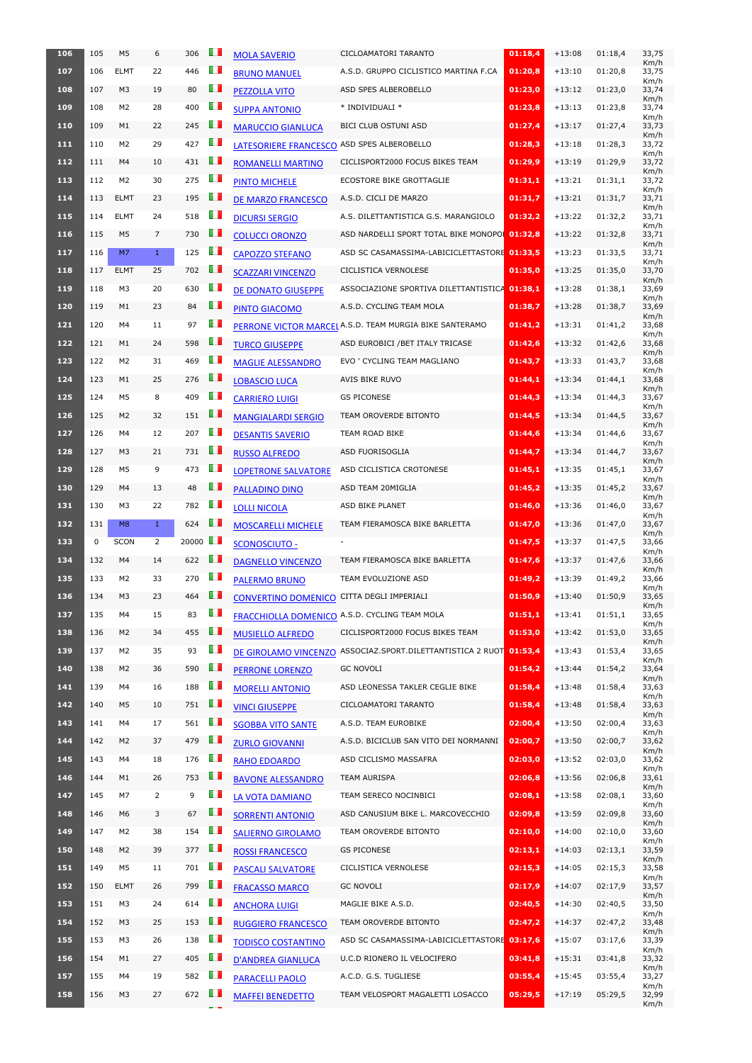| 106        | 105 | M <sub>5</sub> | 6              | 306                  | E D            | <b>MOLA SAVERIO</b>          | CICLOAMATORI TARANTO                                                                    | 01:18.4 | $+13:08$ | 01:18,4            | 33,75<br>Km/h         |
|------------|-----|----------------|----------------|----------------------|----------------|------------------------------|-----------------------------------------------------------------------------------------|---------|----------|--------------------|-----------------------|
| 107        | 106 | <b>ELMT</b>    | 22             | 446                  | m              | <b>BRUNO MANUEL</b>          | A.S.D. GRUPPO CICLISTICO MARTINA F.CA                                                   | 01:20,8 | $+13:10$ | 01:20,8            | 33,75                 |
| 108        | 107 | M <sub>3</sub> | 19             | 80                   | U I            | PEZZOLLA VITO                | ASD SPES ALBEROBELLO                                                                    | 01:23,0 | $+13:12$ | 01:23,0            | Km/h<br>33,74         |
| 109        | 108 | M2             | 28             | 400                  | U D            | <b>SUPPA ANTONIO</b>         | * INDIVIDUALI *                                                                         | 01:23,8 | $+13:13$ | 01:23,8            | Km/h<br>33,74         |
| 110        | 109 | M1             | 22             | 245                  | Œ              | <b>MARUCCIO GIANLUCA</b>     | BICI CLUB OSTUNI ASD                                                                    | 01:27,4 | $+13:17$ | 01:27,4            | Km/h<br>33,73         |
| 111        | 110 | M2             | 29             | 427                  | OΠ             | <b>LATESORIERE FRANCESCO</b> | ASD SPES ALBEROBELLO                                                                    | 01:28,3 | $+13:18$ | 01:28,3            | Km/h<br>33,72         |
| 112        | 111 | M4             | 10             | 431                  | Œ              | <b>ROMANELLI MARTINO</b>     | CICLISPORT2000 FOCUS BIKES TEAM                                                         | 01:29,9 | $+13:19$ | 01:29,9            | Km/h<br>33,72         |
| 113        | 112 | M2             | 30             | 275                  | O D            | <b>PINTO MICHELE</b>         | <b>ECOSTORE BIKE GROTTAGLIE</b>                                                         | 01:31,1 | $+13:21$ | 01:31,1            | Km/h<br>33,72         |
| 114        | 113 | <b>ELMT</b>    | 23             | 195                  | U I            | <b>DE MARZO FRANCESCO</b>    | A.S.D. CICLI DE MARZO                                                                   | 01:31,7 | $+13:21$ | 01:31,7            | Km/h<br>33,71         |
| 115        | 114 | <b>ELMT</b>    | 24             | 518                  | U D            | <b>DICURSI SERGIO</b>        | A.S. DILETTANTISTICA G.S. MARANGIOLO                                                    | 01:32,2 | $+13:22$ | 01:32,2            | Km/h<br>33,71         |
| 116        | 115 | M <sub>5</sub> | $\overline{7}$ | 730                  | ПD             | <b>COLUCCI ORONZO</b>        | ASD NARDELLI SPORT TOTAL BIKE MONOPOL 01:32.8                                           |         | $+13:22$ | 01:32,8            | Km/h<br>33,71         |
| 117        | 116 | M <sub>7</sub> | $\mathbf{1}$   | 125                  | O D            | <b>CAPOZZO STEFANO</b>       | ASD SC CASAMASSIMA-LABICICLETTASTORE 01:33,5                                            |         | $+13:23$ | 01:33,5            | Km/h<br>33,71         |
| 118        | 117 | <b>ELMT</b>    | 25             | 702                  | Œ              |                              | CICLISTICA VERNOLESE                                                                    | 01:35,0 | $+13:25$ | 01:35,0            | Km/h<br>33,70         |
| 119        | 118 | M3             | 20             | 630                  | Ш              | <b>SCAZZARI VINCENZO</b>     | ASSOCIAZIONE SPORTIVA DILETTANTISTICA 01:38,1                                           |         | $+13:28$ | 01:38,1            | Km/h<br>33,69         |
|            |     |                |                |                      | OП             | DE DONATO GIUSEPPE           |                                                                                         |         |          |                    | Km/h                  |
| 120        | 119 | M1             | 23             | 84                   | OП             | PINTO GIACOMO                | A.S.D. CYCLING TEAM MOLA                                                                | 01:38,7 | $+13:28$ | 01:38,7            | 33,69<br>Km/h         |
| 121        | 120 | M4             | 11             | 97                   |                |                              | PERRONE VICTOR MARCEL A.S.D. TEAM MURGIA BIKE SANTERAMO                                 | 01:41,2 | $+13:31$ | 01:41,2            | 33,68<br>Km/h         |
| 122        | 121 | M1             | 24             | 598                  | Œ              | <b>TURCO GIUSEPPE</b>        | ASD EUROBICI / BET ITALY TRICASE                                                        | 01:42,6 | $+13:32$ | 01:42,6            | 33,68<br>Km/h         |
| 123        | 122 | M2             | 31             | 469                  | O D            | <b>MAGLIE ALESSANDRO</b>     | EVO ' CYCLING TEAM MAGLIANO                                                             | 01:43,7 | $+13:33$ | 01:43,7            | 33,68<br>Km/h         |
| 124        | 123 | M1             | 25             | 276                  | ПD             | <b>LOBASCIO LUCA</b>         | AVIS BIKE RUVO                                                                          | 01:44,1 | $+13:34$ | 01:44,1            | 33,68<br>Km/h         |
| 125        | 124 | M5             | 8              | 409                  | U D            | <b>CARRIERO LUIGI</b>        | <b>GS PICONESE</b>                                                                      | 01:44,3 | $+13:34$ | 01:44,3            | 33,67<br>Km/h         |
| 126        | 125 | M <sub>2</sub> | 32             | 151                  | ш              | <b>MANGIALARDI SERGIO</b>    | TEAM OROVERDE BITONTO                                                                   | 01:44,5 | $+13:34$ | 01:44,5            | 33,67<br>Km/h         |
| 127        | 126 | M4             | 12             | 207                  | ш              | <b>DESANTIS SAVERIO</b>      | TEAM ROAD BIKE                                                                          | 01:44,6 | $+13:34$ | 01:44,6            | 33,67<br>Km/h         |
| 128        | 127 | M <sub>3</sub> | 21             | 731                  | H.             | <b>RUSSO ALFREDO</b>         | ASD FUORISOGLIA                                                                         | 01:44,7 | $+13:34$ | 01:44,7            | 33,67<br>Km/h         |
| 129        | 128 | M5             | 9              | 473                  | U D            | <b>LOPETRONE SALVATORE</b>   | ASD CICLISTICA CROTONESE                                                                | 01:45,1 | $+13:35$ | 01:45,1            | 33,67<br>Km/h         |
| 130        | 129 | M4             | 13             | 48                   | H              | <b>PALLADINO DINO</b>        | ASD TEAM 20MIGLIA                                                                       | 01:45,2 | $+13:35$ | 01:45,2            | 33,67<br>Km/h         |
| 131        | 130 | M3             | 22             | 782                  | O D            | <b>LOLLI NICOLA</b>          | ASD BIKE PLANET                                                                         | 01:46,0 | $+13:36$ | 01:46,0            | 33,67                 |
| 132        | 131 |                |                |                      |                |                              |                                                                                         |         |          |                    | Km/h                  |
|            |     | M8             | $\mathbf{1}$   | 624                  | ПD             | <b>MOSCARELLI MICHELE</b>    | TEAM FIERAMOSCA BIKE BARLETTA                                                           | 01:47,0 | $+13:36$ | 01:47,0            | 33,67                 |
| 133        | 0   | SCON           | $\overline{2}$ | 20000 $\blacksquare$ |                | <b>SCONOSCIUTO -</b>         |                                                                                         | 01:47,5 | $+13:37$ | 01:47,5            | Km/h<br>33,66         |
| 134        | 132 | M4             | 14             | 622                  | O D            | <b>DAGNELLO VINCENZO</b>     | TEAM FIERAMOSCA BIKE BARLETTA                                                           | 01:47,6 | $+13:37$ | 01:47,6            | Km/h<br>33,66         |
| 135        | 133 | M2             | 33             | 270                  | O D            | <b>PALERMO BRUNO</b>         | TEAM EVOLUZIONE ASD                                                                     | 01:49,2 | $+13:39$ | 01:49,2            | Km/h<br>33,66         |
| 136        | 134 | M <sub>3</sub> | 23             | 464                  | $\blacksquare$ | <b>CONVERTINO DOMENICO</b>   | CITTA DEGLI IMPERIALI                                                                   | 01:50,9 | $+13:40$ | 01:50,9            | Km/h<br>33,65         |
| 137        | 135 | M4             | 15             | 83                   | U D            |                              |                                                                                         | 01:51,1 | $+13:41$ | 01:51,1            | Km/h<br>33,65         |
| 138        | 136 | M <sub>2</sub> | 34             | 455                  | O D            |                              | <b>FRACCHIOLLA DOMENICO A.S.D. CYCLING TEAM MOLA</b><br>CICLISPORT2000 FOCUS BIKES TEAM | 01:53,0 | $+13:42$ | 01:53,0            | Km/h<br>33,65         |
| 139        | 137 | M2             | 35             | 93                   | O D            | <b>MUSIELLO ALFREDO</b>      | ASSOCIAZ.SPORT.DILETTANTISTICA 2 RUOT                                                   | 01:53,4 | $+13:43$ |                    | Km/h<br>33,65         |
|            | 138 | M <sub>2</sub> | 36             |                      | Ш              | DE GIROLAMO VINCENZO         | <b>GC NOVOLI</b>                                                                        |         | $+13:44$ | 01:53,4            | Km/h                  |
| 140<br>141 | 139 | M4             | 16             | 590<br>188           | O D            | PERRONE LORENZO              | ASD LEONESSA TAKLER CEGLIE BIKE                                                         | 01:54,2 | $+13:48$ | 01:54,2<br>01:58,4 | 33,64<br>Km/h         |
|            | 140 |                |                |                      |                | <b>MORELLI ANTONIO</b>       |                                                                                         | 01:58,4 |          |                    | 33,63<br>Km/h         |
| 142        | 141 | M5<br>M4       | 10             | 751                  | Œ              | <b>VINCI GIUSEPPE</b>        | CICLOAMATORI TARANTO                                                                    | 01:58,4 | $+13:48$ | 01:58,4            | 33,63<br>Km/h         |
| 143        |     |                | 17             | 561                  | O D            | <b>SGOBBA VITO SANTE</b>     | A.S.D. TEAM EUROBIKE                                                                    | 02:00,4 | $+13:50$ | 02:00,4            | 33,63<br>Km/h         |
| 144        | 142 | M <sub>2</sub> | 37             | 479                  | Œ              | <b>ZURLO GIOVANNI</b>        | A.S.D. BICICLUB SAN VITO DEI NORMANNI                                                   | 02:00,7 | $+13:50$ | 02:00,7            | 33,62<br>Km/h         |
| 145        | 143 | M4             | 18             | 176                  | OΠ             | <b>RAHO EDOARDO</b>          | ASD CICLISMO MASSAFRA                                                                   | 02:03,0 | $+13:52$ | 02:03,0            | 33,62<br>Km/h         |
| 146        | 144 | M1             | 26             | 753                  | H              | <b>BAVONE ALESSANDRO</b>     | <b>TEAM AURISPA</b>                                                                     | 02:06,8 | $+13:56$ | 02:06,8            | 33,61<br>Km/h         |
| 147        | 145 | M7             | 2              | 9                    | OП             | LA VOTA DAMIANO              | TEAM SERECO NOCINBICI                                                                   | 02:08,1 | $+13:58$ | 02:08,1            | 33,60<br>Km/h         |
| 148        | 146 | M6             | 3              | 67                   | Œ              | <b>SORRENTI ANTONIO</b>      | ASD CANUSIUM BIKE L. MARCOVECCHIO                                                       | 02:09,8 | $+13:59$ | 02:09,8            | 33,60<br>Km/h         |
| 149        | 147 | M2             | 38             | 154                  | ПD             | <b>SALIERNO GIROLAMO</b>     | <b>TEAM OROVERDE BITONTO</b>                                                            | 02:10,0 | $+14:00$ | 02:10,0            | 33,60<br>Km/h         |
| <b>150</b> | 148 | M2             | 39             | 377                  | O D            | <b>ROSSI FRANCESCO</b>       | <b>GS PICONESE</b>                                                                      | 02:13,1 | $+14:03$ | 02:13,1            | 33,59<br>Km/h         |
| 151        | 149 | M5             | 11             | 701                  | O D            | <b>PASCALI SALVATORE</b>     | CICLISTICA VERNOLESE                                                                    | 02:15,3 | $+14:05$ | 02:15,3            | 33,58<br>Km/h         |
| 152        | 150 | <b>ELMT</b>    | 26             | 799                  | ш              | <b>FRACASSO MARCO</b>        | <b>GC NOVOLI</b>                                                                        | 02:17,9 | $+14:07$ | 02:17,9            | 33,57<br>Km/h         |
| 153        | 151 | M3             | 24             | 614                  | O D            | <b>ANCHORA LUIGI</b>         | MAGLIE BIKE A.S.D.                                                                      | 02:40,5 | $+14:30$ | 02:40,5            | 33,50<br>Km/h         |
| 154        | 152 | M3             | 25             | 153                  | H.             | <b>RUGGIERO FRANCESCO</b>    | TEAM OROVERDE BITONTO                                                                   | 02:47,2 | $+14:37$ | 02:47,2            | 33,48<br>Km/h         |
| 155        | 153 | M3             | 26             | 138                  | l I            | <b>TODISCO COSTANTINO</b>    | ASD SC CASAMASSIMA-LABICICLETTASTORE 03:17,6                                            |         | $+15:07$ | 03:17,6            | 33,39                 |
| 156        | 154 | M1             | 27             | 405                  | O D            | <b>D'ANDREA GIANLUCA</b>     | U.C.D RIONERO IL VELOCIFERO                                                             | 03:41,8 | $+15:31$ | 03:41,8            | Km/h<br>33,32         |
| 157        | 155 | M4             | 19             | 582                  | U.             | <b>PARACELLI PAOLO</b>       | A.C.D. G.S. TUGLIESE                                                                    | 03:55,4 | $+15:45$ | 03:55,4            | Km/h<br>33,27<br>Km/h |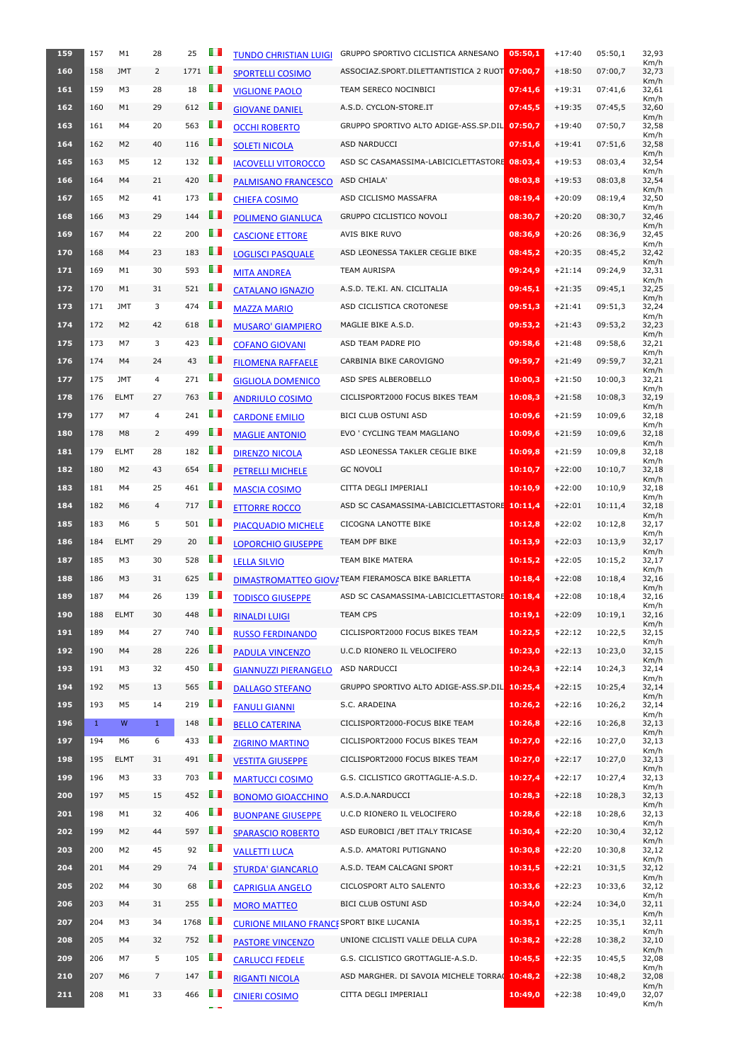| 159 | 157          | M1             | 28             | 25   | Œ              | <b>TUNDO CHRISTIAN LUIGI</b>                    | GRUPPO SPORTIVO CICLISTICA ARNESANO               | 05:50,1 | $+17:40$ | 05:50,1 | 32,93<br>Km/h |
|-----|--------------|----------------|----------------|------|----------------|-------------------------------------------------|---------------------------------------------------|---------|----------|---------|---------------|
| 160 | 158          | <b>JMT</b>     | $\overline{2}$ | 1771 | <b>TI</b>      | <b>SPORTELLI COSIMO</b>                         | ASSOCIAZ.SPORT.DILETTANTISTICA 2 RUOT             | 07:00,7 | $+18:50$ | 07:00,7 | 32,73<br>Km/h |
| 161 | 159          | M3             | 28             | 18   | <b>TI</b>      | <b>VIGLIONE PAOLO</b>                           | TEAM SERECO NOCINBICI                             | 07:41,6 | $+19:31$ | 07:41,6 | 32,61<br>Km/h |
| 162 | 160          | M1             | 29             | 612  | Œ              | <b>GIOVANE DANIEL</b>                           | A.S.D. CYCLON-STORE.IT                            | 07:45,5 | $+19:35$ | 07:45,5 | 32,60<br>Km/h |
| 163 | 161          | M4             | 20             | 563  | ΠI             | <b>OCCHI ROBERTO</b>                            | GRUPPO SPORTIVO ALTO ADIGE-ASS.SP.DIL 07:50,7     |         | $+19:40$ | 07:50,7 | 32,58         |
| 164 | 162          | M <sub>2</sub> | 40             | 116  | <b>III</b>     | <b>SOLETI NICOLA</b>                            | ASD NARDUCCI                                      | 07:51,6 | $+19:41$ | 07:51,6 | Km/h<br>32,58 |
| 165 | 163          | M5             | 12             | 132  | w              | <b>IACOVELLI VITOROCCO</b>                      | ASD SC CASAMASSIMA-LABICICLETTASTORE 08:03,4      |         | $+19:53$ | 08:03,4 | Km/h<br>32,54 |
| 166 | 164          | M4             | 21             | 420  | ПI             | <b>PALMISANO FRANCESCO</b>                      | ASD CHIALA'                                       | 08:03,8 | $+19:53$ | 08:03,8 | Km/h<br>32,54 |
| 167 | 165          | M <sub>2</sub> | 41             | 173  | <b>TI</b>      | <b>CHIEFA COSIMO</b>                            | ASD CICLISMO MASSAFRA                             | 08:19,4 | $+20:09$ | 08:19,4 | Km/h<br>32,50 |
| 168 | 166          | M3             | 29             | 144  | ш              | <b>POLIMENO GIANLUCA</b>                        | <b>GRUPPO CICLISTICO NOVOLI</b>                   | 08:30,7 | $+20:20$ | 08:30,7 | Km/h<br>32,46 |
| 169 | 167          | M4             | 22             | 200  | ПT             | <b>CASCIONE ETTORE</b>                          | AVIS BIKE RUVO                                    | 08:36.9 | $+20:26$ | 08:36,9 | Km/h<br>32,45 |
| 170 | 168          | M4             | 23             | 183  | O D            | <b>LOGLISCI PASQUALE</b>                        | ASD LEONESSA TAKLER CEGLIE BIKE                   | 08:45,2 | $+20:35$ | 08:45,2 | Km/h<br>32,42 |
| 171 | 169          | M1             | 30             | 593  | H I            | <b>MITA ANDREA</b>                              | TEAM AURISPA                                      | 09:24.9 | $+21:14$ | 09:24,9 | Km/h<br>32,31 |
| 172 | 170          | M1             | 31             | 521  | O D            | <b>CATALANO IGNAZIO</b>                         | A.S.D. TE.KI. AN. CICLITALIA                      | 09:45,1 | $+21:35$ | 09:45,1 | Km/h<br>32,25 |
| 173 | 171          | <b>JMT</b>     | 3              | 474  | <b>TI</b>      | <b>MAZZA MARIO</b>                              | ASD CICLISTICA CROTONESE                          | 09:51,3 | $+21:41$ | 09:51,3 | Km/h<br>32,24 |
| 174 | 172          | M <sub>2</sub> | 42             | 618  | <b>III</b>     | <b>MUSARO' GIAMPIERO</b>                        | MAGLIE BIKE A.S.D.                                | 09:53,2 | $+21:43$ | 09:53,2 | Km/h<br>32,23 |
| 175 | 173          | M7             | 3              | 423  | O D            | <b>COFANO GIOVANI</b>                           | ASD TEAM PADRE PIO                                | 09:58,6 | $+21:48$ | 09:58,6 | Km/h<br>32,21 |
| 176 | 174          | M4             | 24             | 43   | ш              | <b>FILOMENA RAFFAELE</b>                        | CARBINIA BIKE CAROVIGNO                           | 09:59,7 | $+21:49$ | 09:59,7 | Km/h<br>32,21 |
| 177 | 175          | <b>JMT</b>     | 4              | 271  | <b>TI</b>      | <b>GIGLIOLA DOMENICO</b>                        | ASD SPES ALBEROBELLO                              | 10:00,3 | $+21:50$ | 10:00,3 | Km/h<br>32,21 |
| 178 | 176          | <b>ELMT</b>    | 27             | 763  | u p            | <b>ANDRIULO COSIMO</b>                          | CICLISPORT2000 FOCUS BIKES TEAM                   | 10:08,3 | $+21:58$ | 10:08.3 | Km/h<br>32,19 |
| 179 | 177          | M7             | 4              | 241  | H I            | <b>CARDONE EMILIO</b>                           | <b>BICI CLUB OSTUNI ASD</b>                       | 10:09,6 | $+21:59$ | 10:09,6 | Km/h<br>32,18 |
| 180 | 178          | M <sub>8</sub> | $\overline{2}$ | 499  | w              | <b>MAGLIE ANTONIO</b>                           | EVO ' CYCLING TEAM MAGLIANO                       | 10:09,6 | $+21:59$ | 10:09,6 | Km/h<br>32,18 |
| 181 | 179          | <b>ELMT</b>    | 28             | 182  | ш              | <b>DIRENZO NICOLA</b>                           | ASD LEONESSA TAKLER CEGLIE BIKE                   | 10:09,8 | $+21:59$ | 10:09,8 | Km/h<br>32,18 |
| 182 | 180          | M <sub>2</sub> | 43             | 654  | ш              | <b>PETRELLI MICHELE</b>                         | <b>GC NOVOLI</b>                                  | 10:10,7 | $+22:00$ | 10:10,7 | Km/h<br>32,18 |
| 183 | 181          | M4             | 25             | 461  | ΠI             | <b>MASCIA COSIMO</b>                            | CITTA DEGLI IMPERIALI                             | 10:10,9 | $+22:00$ | 10:10,9 | Km/h<br>32,18 |
| 184 | 182          | M6             | 4              | 717  | Œ              | <b>ETTORRE ROCCO</b>                            | ASD SC CASAMASSIMA-LABICICLETTASTORE              | 10:11,4 | $+22:01$ | 10:11,4 | Km/h<br>32,18 |
| 185 | 183          | M6             | 5              | 501  | <b>TI</b>      | PIACQUADIO MICHELE                              | CICOGNA LANOTTE BIKE                              | 10:12.8 | $+22:02$ | 10:12,8 | Km/h<br>32,17 |
| 186 | 184          | <b>ELMT</b>    | 29             | 20   | u p            | <b>LOPORCHIO GIUSEPPE</b>                       | TEAM DPF BIKE                                     | 10:13,9 | $+22:03$ | 10:13,9 | Km/h<br>32,17 |
| 187 | 185          | M3             | 30             | 528  | H I            |                                                 | TEAM BIKE MATERA                                  | 10:15,2 | $+22:05$ | 10:15,2 | Km/h<br>32,17 |
| 188 | 186          | M3             | 31             | 625  | O D            | <b>LELLA SILVIO</b>                             | DIMASTROMATTEO GIOV/TEAM FIERAMOSCA BIKE BARLETTA | 10:18,4 | $+22:08$ | 10:18,4 | Km/h<br>32,16 |
| 189 | 187          | M4             | 26             | 139  | w              |                                                 | ASD SC CASAMASSIMA-LABICICLETTASTORE 10:18,4      |         | $+22:08$ | 10:18,4 | Km/h<br>32,16 |
| 190 | 188          | <b>ELMT</b>    | 30             | 448  | $\blacksquare$ | <b>TODISCO GIUSEPPE</b>                         | <b>TEAM CPS</b>                                   | 10:19,1 | $+22:09$ | 10:19,1 | Km/h<br>32,16 |
| 191 | 189          | M4             | 27             | 740  | m              | <b>RINALDI LUIGI</b>                            | CICLISPORT2000 FOCUS BIKES TEAM                   |         | $+22:12$ | 10:22,5 | Km/h          |
|     |              |                |                |      | ш              | <b>RUSSO FERDINANDO</b>                         |                                                   | 10:22,5 |          |         | 32,15<br>Km/h |
| 192 | 190          | M4             | 28             | 226  | U I            | <b>PADULA VINCENZO</b>                          | U.C.D RIONERO IL VELOCIFERO                       | 10:23,0 | $+22:13$ | 10:23,0 | 32,15<br>Km/h |
| 193 | 191          | M3             | 32             | 450  | ш              | <b>GIANNUZZI PIERANGELO</b>                     | ASD NARDUCCI                                      | 10:24,3 | $+22:14$ | 10:24,3 | 32,14<br>Km/h |
| 194 | 192          | M5             | 13             | 565  | ΠT             | <b>DALLAGO STEFANO</b>                          | GRUPPO SPORTIVO ALTO ADIGE-ASS.SP.DIL             | 10:25,4 | $+22:15$ | 10:25,4 | 32,14<br>Km/h |
| 195 | 193          | M5             | 14             | 219  | U I            | <b>FANULI GIANNI</b>                            | S.C. ARADEINA                                     | 10:26,2 | $+22:16$ | 10:26,2 | 32,14<br>Km/h |
| 196 | $\mathbf{1}$ | W              | $\mathbf{1}$   | 148  |                | <b>BELLO CATERINA</b>                           | CICLISPORT2000-FOCUS BIKE TEAM                    | 10:26,8 | $+22:16$ | 10:26,8 | 32,13<br>Km/h |
| 197 | 194          | M <sub>6</sub> | 6              | 433  | ΠI             | <b>ZIGRINO MARTINO</b>                          | CICLISPORT2000 FOCUS BIKES TEAM                   | 10:27,0 | $+22:16$ | 10:27,0 | 32,13<br>Km/h |
| 198 | 195          | <b>ELMT</b>    | 31             | 491  | O D            | <b>VESTITA GIUSEPPE</b>                         | CICLISPORT2000 FOCUS BIKES TEAM                   | 10:27,0 | $+22:17$ | 10:27,0 | 32,13<br>Km/h |
| 199 | 196          | M <sub>3</sub> | 33             | 703  | ΠI             | <b>MARTUCCI COSIMO</b>                          | G.S. CICLISTICO GROTTAGLIE-A.S.D.                 | 10:27,4 | $+22:17$ | 10:27,4 | 32,13<br>Km/h |
| 200 | 197          | M <sub>5</sub> | 15             | 452  | $\blacksquare$ | <b>BONOMO GIOACCHINO</b>                        | A.S.D.A.NARDUCCI                                  | 10:28,3 | $+22:18$ | 10:28,3 | 32,13<br>Km/h |
| 201 | 198          | М1             | 32             | 406  | <b>TI</b>      | <b>BUONPANE GIUSEPPE</b>                        | U.C.D RIONERO IL VELOCIFERO                       | 10:28,6 | $+22:18$ | 10:28,6 | 32,13<br>Km/h |
| 202 | 199          | M <sub>2</sub> | 44             | 597  | w              | <b>SPARASCIO ROBERTO</b>                        | ASD EUROBICI / BET ITALY TRICASE                  | 10:30,4 | $+22:20$ | 10:30,4 | 32,12<br>Km/h |
| 203 | 200          | M2             | 45             | 92   | $\blacksquare$ | <b>VALLETTI LUCA</b>                            | A.S.D. AMATORI PUTIGNANO                          | 10:30,8 | $+22:20$ | 10:30,8 | 32,12<br>Km/h |
| 204 | 201          | M4             | 29             | 74   | $\blacksquare$ | <b>STURDA' GIANCARLO</b>                        | A.S.D. TEAM CALCAGNI SPORT                        | 10:31,5 | $+22:21$ | 10:31,5 | 32,12<br>Km/h |
| 205 | 202          | M4             | 30             | 68   | $\blacksquare$ | <b>CAPRIGLIA ANGELO</b>                         | CICLOSPORT ALTO SALENTO                           | 10:33,6 | $+22:23$ | 10:33,6 | 32,12<br>Km/h |
| 206 | 203          | M4             | 31             | 255  | ш              | <b>MORO MATTEO</b>                              | BICI CLUB OSTUNI ASD                              | 10:34,0 | $+22:24$ | 10:34,0 | 32,11<br>Km/h |
| 207 | 204          | M3             | 34             | 1768 | U I            | <b>CURIONE MILANO FRANCE SPORT BIKE LUCANIA</b> |                                                   | 10:35,1 | $+22:25$ | 10:35,1 | 32,11<br>Km/h |
| 208 | 205          | M4             | 32             | 752  | O D            | <b>PASTORE VINCENZO</b>                         | UNIONE CICLISTI VALLE DELLA CUPA                  | 10:38,2 | $+22:28$ | 10:38,2 | 32,10<br>Km/h |
| 209 | 206          | M7             | 5              | 105  | ПT             | <b>CARLUCCI FEDELE</b>                          | G.S. CICLISTICO GROTTAGLIE-A.S.D.                 | 10:45,5 | $+22:35$ | 10:45,5 | 32,08<br>Km/h |
| 210 | 207          | M6             | 7              | 147  | ш              | <b>RIGANTI NICOLA</b>                           | ASD MARGHER. DI SAVOIA MICHELE TORRA( 10:48,2     |         | $+22:38$ | 10:48,2 | 32,08<br>Km/h |
| 211 | 208          | M1             | 33             | 466  | $\blacksquare$ | <b>CINIERI COSIMO</b>                           | CITTA DEGLI IMPERIALI                             | 10:49,0 | $+22:38$ | 10:49,0 | 32,07<br>Km/h |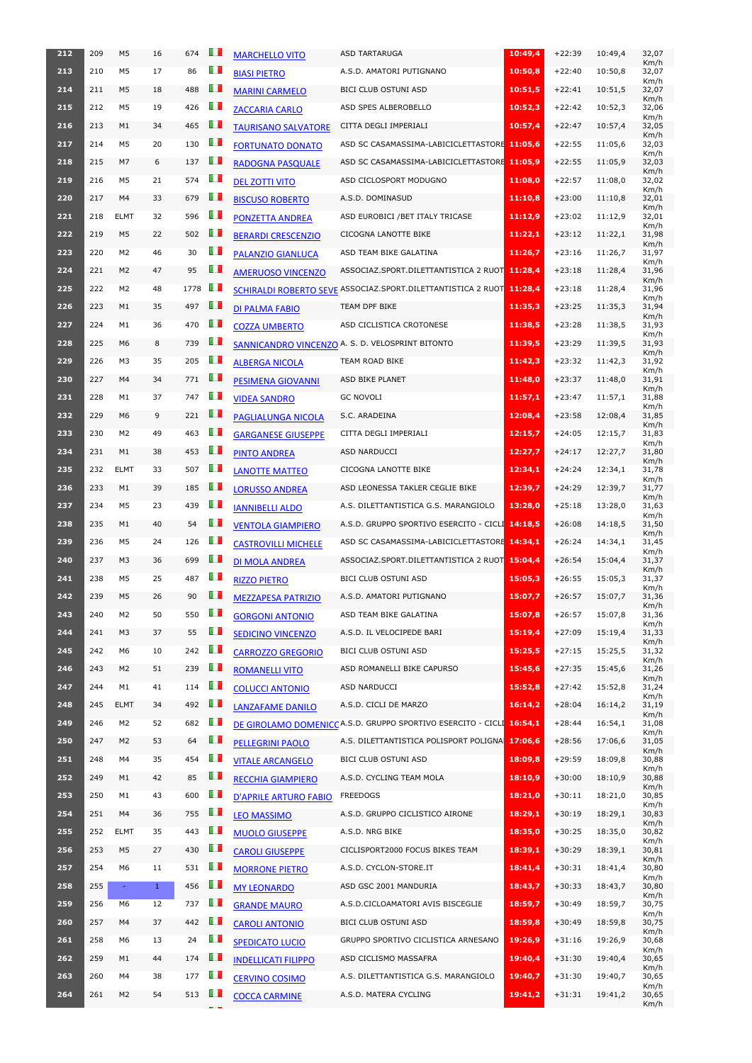| 212 | 209 | M <sub>5</sub> | 16           | 674  | O D            | <b>MARCHELLO VITO</b>        | <b>ASD TARTARUGA</b>                                                | 10:49,4 | $+22:39$ | 10:49,4 | 32,07<br>Km/h |
|-----|-----|----------------|--------------|------|----------------|------------------------------|---------------------------------------------------------------------|---------|----------|---------|---------------|
| 213 | 210 | M5             | 17           | 86   | ПT             | <b>BIASI PIETRO</b>          | A.S.D. AMATORI PUTIGNANO                                            | 10:50,8 | $+22:40$ | 10:50,8 | 32,07<br>Km/h |
| 214 | 211 | M <sub>5</sub> | 18           | 488  | Œ              | <b>MARINI CARMELO</b>        | BICI CLUB OSTUNI ASD                                                | 10:51,5 | $+22:41$ | 10:51,5 | 32,07         |
| 215 | 212 | M5             | 19           | 426  | Ш              | <b>ZACCARIA CARLO</b>        | ASD SPES ALBEROBELLO                                                | 10:52,3 | $+22:42$ | 10:52,3 | Km/h<br>32,06 |
| 216 | 213 | M1             | 34           | 465  | ш              | <b>TAURISANO SALVATORE</b>   | CITTA DEGLI IMPERIALI                                               | 10:57,4 | $+22:47$ | 10:57,4 | Km/h<br>32,05 |
| 217 | 214 | M5             | 20           | 130  | O D            | <b>FORTUNATO DONATO</b>      | ASD SC CASAMASSIMA-LABICICLETTASTORE 11:05,6                        |         | $+22:55$ | 11:05,6 | Km/h<br>32,03 |
| 218 | 215 | M7             | 6            | 137  | ш              | <b>RADOGNA PASQUALE</b>      | ASD SC CASAMASSIMA-LABICICLETTASTORE 11:05,9                        |         | $+22:55$ | 11:05,9 | Km/h<br>32,03 |
| 219 | 216 | M5             | 21           | 574  | ш              | <b>DEL ZOTTI VITO</b>        | ASD CICLOSPORT MODUGNO                                              | 11:08,0 | $+22:57$ | 11:08,0 | Km/h<br>32,02 |
| 220 | 217 | M4             | 33           | 679  | H              | <b>BISCUSO ROBERTO</b>       | A.S.D. DOMINASUD                                                    | 11:10,8 | $+23:00$ | 11:10,8 | Km/h<br>32,01 |
| 221 | 218 | <b>ELMT</b>    | 32           | 596  | U D            | PONZETTA ANDREA              | ASD EUROBICI / BET ITALY TRICASE                                    | 11:12,9 | $+23:02$ | 11:12,9 | Km/h<br>32,01 |
| 222 | 219 | M <sub>5</sub> | 22           | 502  | Œ              | <b>BERARDI CRESCENZIO</b>    | CICOGNA LANOTTE BIKE                                                | 11:22,1 | $+23:12$ | 11:22,1 | Km/h<br>31,98 |
| 223 | 220 | M2             | 46           | 30   | OП             | <b>PALANZIO GIANLUCA</b>     | ASD TEAM BIKE GALATINA                                              | 11:26,7 | $+23:16$ | 11:26,7 | Km/h<br>31,97 |
| 224 | 221 | M <sub>2</sub> | 47           | 95   | O D            | <b>AMERUOSO VINCENZO</b>     | ASSOCIAZ.SPORT.DILETTANTISTICA 2 RUOT 11:28,4                       |         | $+23:18$ | 11:28,4 | Km/h<br>31,96 |
| 225 | 222 | M2             | 48           | 1778 | LП             |                              | SCHIRALDI ROBERTO SEVE ASSOCIAZ.SPORT.DILETTANTISTICA 2 RUOT        | 11:28,4 | $+23:18$ | 11:28,4 | Km/h<br>31,96 |
| 226 | 223 | M1             | 35           | 497  | $\blacksquare$ | <b>DI PALMA FABIO</b>        | TEAM DPF BIKE                                                       | 11:35,3 | $+23:25$ | 11:35,3 | Km/h<br>31,94 |
| 227 | 224 | M1             | 36           | 470  | O D            |                              | ASD CICLISTICA CROTONESE                                            | 11:38,5 | $+23:28$ | 11:38,5 | Km/h<br>31,93 |
| 228 | 225 | M <sub>6</sub> | 8            | 739  | ш              | <b>COZZA UMBERTO</b>         | SANNICANDRO VINCENZO A. S. D. VELOSPRINT BITONTO                    | 11:39,5 | $+23:29$ | 11:39,5 | Km/h<br>31,93 |
| 229 | 226 | M3             | 35           | 205  | Œ              |                              | TEAM ROAD BIKE                                                      | 11:42,3 | $+23:32$ | 11:42,3 | Km/h<br>31,92 |
| 230 | 227 | M4             |              | 771  | O D            | <b>ALBERGA NICOLA</b>        |                                                                     |         | $+23:37$ |         | Km/h          |
|     |     |                | 34           |      | m              | <b>PESIMENA GIOVANNI</b>     | ASD BIKE PLANET                                                     | 11:48,0 |          | 11:48,0 | 31,91<br>Km/h |
| 231 | 228 | M1             | 37           | 747  |                | <b>VIDEA SANDRO</b>          | <b>GC NOVOLI</b>                                                    | 11:57,1 | $+23:47$ | 11:57,1 | 31,88<br>Km/h |
| 232 | 229 | M6             | 9            | 221  | ш              | PAGLIALUNGA NICOLA           | S.C. ARADEINA                                                       | 12:08,4 | $+23:58$ | 12:08,4 | 31,85<br>Km/h |
| 233 | 230 | M2             | 49           | 463  | m              | <b>GARGANESE GIUSEPPE</b>    | CITTA DEGLI IMPERIALI                                               | 12:15,7 | $+24:05$ | 12:15,7 | 31,83<br>Km/h |
| 234 | 231 | M1             | 38           | 453  | H.             | <b>PINTO ANDREA</b>          | ASD NARDUCCI                                                        | 12:27,7 | $+24:17$ | 12:27,7 | 31,80<br>Km/h |
| 235 | 232 | <b>ELMT</b>    | 33           | 507  | O D            | <b>LANOTTE MATTEO</b>        | CICOGNA LANOTTE BIKE                                                | 12:34,1 | $+24:24$ | 12:34,1 | 31,78<br>Km/h |
| 236 | 233 | M1             | 39           | 185  | Ш              | <b>LORUSSO ANDREA</b>        | ASD LEONESSA TAKLER CEGLIE BIKE                                     | 12:39,7 | $+24:29$ | 12:39,7 | 31,77<br>Km/h |
| 237 | 234 | M5             | 23           | 439  | OΠ             | <b>IANNIBELLI ALDO</b>       | A.S. DILETTANTISTICA G.S. MARANGIOLO                                | 13:28,0 | $+25:18$ | 13:28,0 | 31,63<br>Km/h |
| 238 | 235 | M1             | 40           | 54   | Œ              | <b>VENTOLA GIAMPIERO</b>     | A.S.D. GRUPPO SPORTIVO ESERCITO - CICLI 14:18,5                     |         | $+26:08$ | 14:18,5 | 31,50<br>Km/h |
| 239 | 236 | M5             | 24           | 126  | Œ              | <b>CASTROVILLI MICHELE</b>   | ASD SC CASAMASSIMA-LABICICLETTASTORE 14:34,1                        |         | $+26:24$ | 14:34,1 | 31,45<br>Km/h |
| 240 | 237 | M3             | 36           | 699  | O D            | <b>DI MOLA ANDREA</b>        | ASSOCIAZ.SPORT.DILETTANTISTICA 2 RUOT                               | 15:04.4 | $+26:54$ | 15:04,4 | 31,37<br>Km/h |
| 241 | 238 | M5             | 25           | 487  | ПT             | <b>RIZZO PIETRO</b>          | <b>BICI CLUB OSTUNI ASD</b>                                         | 15:05,3 | $+26:55$ | 15:05,3 | 31,37<br>Km/h |
| 242 | 239 | M5             | 26           | 90   | Ш              | <b>MEZZAPESA PATRIZIO</b>    | A.S.D. AMATORI PUTIGNANO                                            | 15:07,7 | $+26:57$ | 15:07,7 | 31,36<br>Km/h |
| 243 | 240 | M2             | 50           | 550  | O D            | <b>GORGONI ANTONIO</b>       | ASD TEAM BIKE GALATINA                                              | 15:07,8 | $+26:57$ | 15:07,8 | 31,36<br>Km/h |
| 244 | 241 | M <sub>3</sub> | 37           | 55   | Œ              | <b>SEDICINO VINCENZO</b>     | A.S.D. IL VELOCIPEDE BARI                                           | 15:19,4 | $+27:09$ | 15:19,4 | 31,33         |
| 245 | 242 | M6             | 10           | 242  | U D            | <b>CARROZZO GREGORIO</b>     | <b>BICI CLUB OSTUNI ASD</b>                                         | 15:25,5 | $+27:15$ | 15:25,5 | Km/h<br>31,32 |
| 246 | 243 | M <sub>2</sub> | 51           | 239  | Ш              | <b>ROMANELLI VITO</b>        | ASD ROMANELLI BIKE CAPURSO                                          | 15:45,6 | $+27:35$ | 15:45,6 | Km/h<br>31,26 |
| 247 | 244 | M1             | 41           | 114  | O D            | <b>COLUCCI ANTONIO</b>       | ASD NARDUCCI                                                        | 15:52,8 | $+27:42$ | 15:52,8 | Km/h<br>31,24 |
| 248 | 245 | <b>ELMT</b>    | 34           | 492  | ш              | <b>LANZAFAME DANILO</b>      | A.S.D. CICLI DE MARZO                                               | 16:14,2 | $+28:04$ | 16:14,2 | Km/h<br>31,19 |
| 249 | 246 | M2             | 52           | 682  | ПT             |                              | DE GIROLAMO DOMENICCA.S.D. GRUPPO SPORTIVO ESERCITO - CICLI 16:54,1 |         | $+28:44$ | 16:54,1 | Km/h<br>31,08 |
| 250 | 247 | M <sub>2</sub> | 53           | 64   | Œ              | <b>PELLEGRINI PAOLO</b>      | A.S. DILETTANTISTICA POLISPORT POLIGNA 17:06,6                      |         | $+28:56$ | 17:06,6 | Km/h<br>31,05 |
| 251 | 248 | M4             | 35           | 454  | Œ              | <b>VITALE ARCANGELO</b>      | BICI CLUB OSTUNI ASD                                                | 18:09,8 | $+29:59$ | 18:09,8 | Km/h<br>30,88 |
| 252 | 249 | M1             | 42           | 85   | Ш              | <b>RECCHIA GIAMPIERO</b>     | A.S.D. CYCLING TEAM MOLA                                            | 18:10,9 | $+30:00$ | 18:10,9 | Km/h<br>30,88 |
| 253 | 250 | M1             | 43           | 600  | O D            | <b>D'APRILE ARTURO FABIO</b> | FREEDOGS                                                            | 18:21,0 | $+30:11$ | 18:21,0 | Km/h<br>30,85 |
| 254 | 251 | M4             | 36           | 755  | Œ              | <b>LEO MASSIMO</b>           | A.S.D. GRUPPO CICLISTICO AIRONE                                     | 18:29,1 | $+30:19$ | 18:29,1 | Km/h<br>30,83 |
| 255 | 252 | <b>ELMT</b>    | 35           | 443  | T I            | <b>MUOLO GIUSEPPE</b>        | A.S.D. NRG BIKE                                                     | 18:35,0 | $+30:25$ | 18:35,0 | Km/h<br>30,82 |
| 256 |     | 253 M5 27      |              | 430  | ш              | <b>CAROLI GIUSEPPE</b>       | CICLISPORT2000 FOCUS BIKES TEAM 18:39,1 +30:29 18:39,1              |         |          |         | Km/h<br>30,81 |
| 257 | 254 | M6             | 11           | 531  | O D            | <b>MORRONE PIETRO</b>        | A.S.D. CYCLON-STORE.IT                                              | 18:41,4 | $+30:31$ | 18:41,4 | Km/h<br>30,80 |
| 258 | 255 | $\equiv$       | $\mathbf{1}$ | 456  | O D            | <b>MY LEONARDO</b>           | ASD GSC 2001 MANDURIA                                               | 18:43,7 | $+30:33$ | 18:43,7 | Km/h<br>30,80 |
| 259 | 256 | M6             | 12           | 737  | O D            | <b>GRANDE MAURO</b>          | A.S.D.CICLOAMATORI AVIS BISCEGLIE                                   | 18:59,7 | $+30:49$ | 18:59,7 | Km/h<br>30,75 |
| 260 | 257 | M4             | 37           | 442  | ш              | <b>CAROLI ANTONIO</b>        | BICI CLUB OSTUNI ASD                                                | 18:59,8 | $+30:49$ | 18:59,8 | Km/h<br>30,75 |
| 261 | 258 | M6             | 13           | 24   | ш              |                              | GRUPPO SPORTIVO CICLISTICA ARNESANO                                 | 19:26,9 | $+31:16$ | 19:26,9 | Km/h<br>30,68 |
| 262 | 259 | M1             | 44           | 174  | Œ              | <b>SPEDICATO LUCIO</b>       | ASD CICLISMO MASSAFRA                                               | 19:40,4 | $+31:30$ | 19:40,4 | Km/h<br>30,65 |
| 263 | 260 | M4             | 38           | 177  | O D            | <b>INDELLICATI FILIPPO</b>   | A.S. DILETTANTISTICA G.S. MARANGIOLO                                | 19:40,7 | $+31:30$ | 19:40,7 | Km/h<br>30,65 |
|     |     |                |              |      | Ш              | <b>CERVINO COSIMO</b>        |                                                                     |         |          |         | Km/h          |
| 264 | 261 | M <sub>2</sub> | 54           | 513  |                | <b>COCCA CARMINE</b>         | A.S.D. MATERA CYCLING                                               | 19:41,2 | $+31:31$ | 19:41,2 | 30,65<br>Km/h |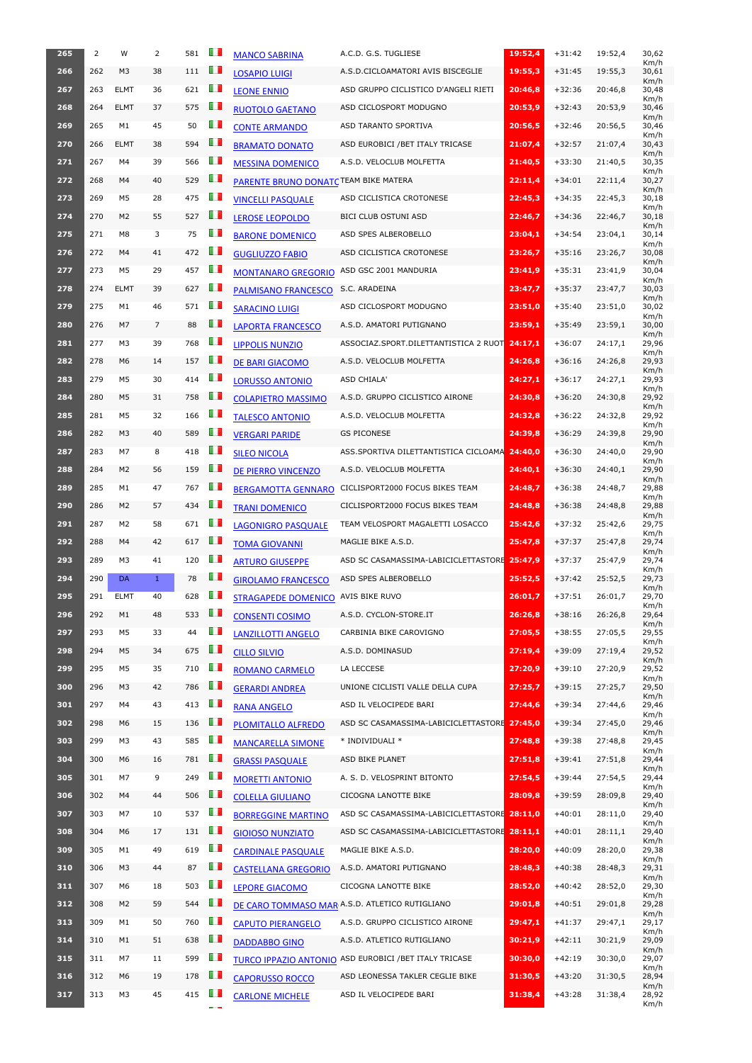| 265 | 2   | W              | 2            | 581 | U I            | <b>MANCO SABRINA</b>                                   | A.C.D. G.S. TUGLIESE                           | 19:52,4 | $+31:42$ | 19:52,4 | 30,62<br>Km/h         |
|-----|-----|----------------|--------------|-----|----------------|--------------------------------------------------------|------------------------------------------------|---------|----------|---------|-----------------------|
| 266 | 262 | M <sub>3</sub> | 38           | 111 | Œ              | <b>LOSAPIO LUIGI</b>                                   | A.S.D.CICLOAMATORI AVIS BISCEGLIE              | 19:55,3 | $+31:45$ | 19:55,3 | 30,61<br>Km/h         |
| 267 | 263 | <b>ELMT</b>    | 36           | 621 | U D            | <b>LEONE ENNIO</b>                                     | ASD GRUPPO CICLISTICO D'ANGELI RIETI           | 20:46,8 | $+32:36$ | 20:46,8 | 30,48<br>Km/h         |
| 268 | 264 | <b>ELMT</b>    | 37           | 575 | U D            | <b>RUOTOLO GAETANO</b>                                 | ASD CICLOSPORT MODUGNO                         | 20:53,9 | $+32:43$ | 20:53,9 | 30,46<br>Km/h         |
| 269 | 265 | M1             | 45           | 50  | O D            | <b>CONTE ARMANDO</b>                                   | ASD TARANTO SPORTIVA                           | 20:56,5 | $+32:46$ | 20:56,5 | 30,46<br>Km/h         |
| 270 | 266 | <b>ELMT</b>    | 38           | 594 | OП             | <b>BRAMATO DONATO</b>                                  | ASD EUROBICI / BET ITALY TRICASE               | 21:07,4 | $+32:57$ | 21:07,4 | 30,43<br>Km/h         |
| 271 | 267 | M4             | 39           | 566 | U D            | <b>MESSINA DOMENICO</b>                                | A.S.D. VELOCLUB MOLFETTA                       | 21:40,5 | $+33:30$ | 21:40,5 | 30,35<br>Km/h         |
| 272 | 268 | M4             | 40           | 529 | Œ              | PARENTE BRUNO DONATC TEAM BIKE MATERA                  |                                                | 22:11,4 | $+34:01$ | 22:11,4 | 30,27<br>Km/h         |
| 273 | 269 | M5             | 28           | 475 | m              | <b>VINCELLI PASQUALE</b>                               | ASD CICLISTICA CROTONESE                       | 22:45,3 | $+34:35$ | 22:45,3 | 30,18<br>Km/h         |
| 274 | 270 | M <sub>2</sub> | 55           | 527 | ш              | <b>LEROSE LEOPOLDO</b>                                 | <b>BICI CLUB OSTUNI ASD</b>                    | 22:46,7 | $+34:36$ | 22:46,7 | 30,18<br>Km/h         |
| 275 | 271 | M8             | 3            | 75  | Ш              | <b>BARONE DOMENICO</b>                                 | ASD SPES ALBEROBELLO                           | 23:04,1 | $+34:54$ | 23:04,1 | 30,14<br>Km/h         |
| 276 | 272 | M4             | 41           | 472 | O D            | <b>GUGLIUZZO FABIO</b>                                 | ASD CICLISTICA CROTONESE                       | 23:26,7 | $+35:16$ | 23:26,7 | 30,08<br>Km/h         |
| 277 | 273 | M <sub>5</sub> | 29           | 457 | O D            | <b>MONTANARO GREGORIO</b>                              | ASD GSC 2001 MANDURIA                          | 23:41,9 | $+35:31$ | 23:41,9 | 30,04<br>Km/h         |
| 278 | 274 | <b>ELMT</b>    | 39           | 627 | Œ              | <b>PALMISANO FRANCESCO</b>                             | S.C. ARADEINA                                  | 23:47,7 | $+35:37$ | 23:47,7 | 30,03<br>Km/h         |
| 279 | 275 | M1             | 46           | 571 | $\blacksquare$ | <b>SARACINO LUIGI</b>                                  | ASD CICLOSPORT MODUGNO                         | 23:51,0 | $+35:40$ | 23:51,0 | 30,02                 |
| 280 | 276 | M7             | 7            | 88  | O D            | <b>LAPORTA FRANCESCO</b>                               | A.S.D. AMATORI PUTIGNANO                       | 23:59,1 | $+35:49$ | 23:59,1 | Km/h<br>30,00         |
| 281 | 277 | M3             | 39           | 768 | O D            | <b>LIPPOLIS NUNZIO</b>                                 | ASSOCIAZ.SPORT.DILETTANTISTICA 2 RUOT 24:17,1  |         | $+36:07$ | 24:17,1 | Km/h<br>29,96         |
| 282 | 278 | M6             | 14           | 157 | ш              | DE BARI GIACOMO                                        | A.S.D. VELOCLUB MOLFETTA                       | 24:26,8 | $+36:16$ | 24:26,8 | Km/h<br>29,93         |
| 283 | 279 | M5             | 30           | 414 | $\blacksquare$ | <b>LORUSSO ANTONIO</b>                                 | ASD CHIALA'                                    | 24:27,1 | $+36:17$ | 24:27,1 | Km/h<br>29,93         |
| 284 | 280 | M5             | 31           | 758 | H              | <b>COLAPIETRO MASSIMO</b>                              | A.S.D. GRUPPO CICLISTICO AIRONE                | 24:30,8 | $+36:20$ | 24:30,8 | Km/h<br>29,92         |
| 285 | 281 | M5             | 32           | 166 | ш              | <b>TALESCO ANTONIO</b>                                 | A.S.D. VELOCLUB MOLFETTA                       | 24:32,8 | $+36:22$ | 24:32,8 | Km/h<br>29,92         |
| 286 | 282 | M <sub>3</sub> | 40           | 589 | <b>III</b>     | <b>VERGARI PARIDE</b>                                  | <b>GS PICONESE</b>                             | 24:39,8 | $+36:29$ | 24:39,8 | Km/h<br>29,90         |
| 287 | 283 | M7             | 8            | 418 | H.             | <b>SILEO NICOLA</b>                                    | ASS.SPORTIVA DILETTANTISTICA CICLOAMA 24:40,0  |         | $+36:30$ | 24:40,0 | Km/h<br>29,90         |
| 288 | 284 | M <sub>2</sub> | 56           | 159 | O D            | <b>DE PIERRO VINCENZO</b>                              | A.S.D. VELOCLUB MOLFETTA                       | 24:40,1 | $+36:30$ | 24:40,1 | Km/h<br>29,90         |
| 289 | 285 | M1             | 47           | 767 | U I            | <b>BERGAMOTTA GENNARO</b>                              | CICLISPORT2000 FOCUS BIKES TEAM                | 24:48,7 | $+36:38$ | 24:48,7 | Km/h<br>29,88         |
| 290 | 286 | M <sub>2</sub> | 57           | 434 | Œ              | <b>TRANI DOMENICO</b>                                  | CICLISPORT2000 FOCUS BIKES TEAM                | 24:48,8 | $+36:38$ | 24:48.8 | Km/h<br>29,88         |
| 291 | 287 | M2             | 58           | 671 | O D            | <b>LAGONIGRO PASQUALE</b>                              | TEAM VELOSPORT MAGALETTI LOSACCO               | 25:42,6 | $+37:32$ | 25:42,6 | Km/h<br>29,75         |
| 292 | 288 | M4             | 42           | 617 | $\blacksquare$ | <b>TOMA GIOVANNI</b>                                   | MAGLIE BIKE A.S.D.                             | 25:47,8 | $+37:37$ | 25:47,8 | Km/h<br>29,74         |
| 293 | 289 | M3             | 41           | 120 | O D            | <b>ARTURO GIUSEPPE</b>                                 | ASD SC CASAMASSIMA-LABICICLETTASTORE 25:47,9   |         | $+37:37$ | 25:47,9 | Km/h<br>29,74         |
| 294 | 290 | <b>DA</b>      | $\mathbf{1}$ | 78  | OП             | <b>GIROLAMO FRANCESCO</b>                              | ASD SPES ALBEROBELLO                           | 25:52,5 | $+37:42$ | 25:52,5 | Km/h<br>29,73         |
| 295 | 291 | <b>ELMT</b>    | 40           | 628 | O D            | <b>STRAGAPEDE DOMENICO</b>                             | AVIS BIKE RUVO                                 | 26:01,7 | $+37:51$ | 26:01,7 | Km/h<br>29,70         |
| 296 | 292 | M1             | 48           | 533 | Œ              | <b>CONSENTI COSIMO</b>                                 | A.S.D. CYCLON-STORE.IT                         | 26:26,8 | $+38:16$ | 26:26,8 | Km/h<br>29,64         |
| 297 | 293 | M5             | 33           | 44  | m              | <b>LANZILLOTTI ANGELO</b>                              | CARBINIA BIKE CAROVIGNO                        | 27:05,5 | $+38:55$ | 27:05,5 | Km/h<br>29,55         |
| 298 | 294 | M5             | 34           | 675 | ш              | <b>CILLO SILVIO</b>                                    | A.S.D. DOMINASUD                               | 27:19,4 | $+39:09$ | 27:19,4 | Km/h<br>29,52         |
| 299 | 295 | M5             | 35           | 710 | OП             | <b>ROMANO CARMELO</b>                                  | LA LECCESE                                     | 27:20,9 | $+39:10$ | 27:20,9 | Km/h<br>29,52         |
| 300 | 296 | M <sub>3</sub> | 42           | 786 | O D            | <b>GERARDI ANDREA</b>                                  | UNIONE CICLISTI VALLE DELLA CUPA               | 27:25,7 | $+39:15$ | 27:25,7 | Km/h<br>29,50         |
| 301 | 297 | M4             | 43           | 413 | OП             | <b>RANA ANGELO</b>                                     | ASD IL VELOCIPEDE BARI                         | 27:44,6 | $+39:34$ | 27:44,6 | Km/h<br>29,46         |
| 302 | 298 | M6             | 15           | 136 | $\blacksquare$ | <b>PLOMITALLO ALFREDO</b>                              | ASD SC CASAMASSIMA-LABICICLETTASTORE 27:45,0   |         | $+39:34$ | 27:45,0 | Km/h<br>29,46         |
| 303 | 299 | M3             | 43           | 585 | Œ              | <b>MANCARELLA SIMONE</b>                               | * INDIVIDUALI *                                | 27:48,8 | $+39:38$ | 27:48,8 | Km/h<br>29,45         |
| 304 | 300 | M6             | 16           |     |                | <b>GRASSI PASQUALE</b>                                 | ASD BIKE PLANET                                | 27:51,8 | $+39:41$ | 27:51,8 | Km/h<br>29,44         |
| 305 |     |                |              | 781 | OП             |                                                        |                                                |         |          | 27:54,5 | Km/h<br>29,44         |
|     | 301 | M7             | 9            | 249 | H I            | <b>MORETTI ANTONIO</b>                                 | A. S. D. VELOSPRINT BITONTO                    | 27:54,5 | $+39:44$ |         | Km/h                  |
| 306 | 302 | M4             | 44           | 506 | H I            | <b>COLELLA GIULIANO</b>                                | CICOGNA LANOTTE BIKE                           | 28:09,8 | $+39:59$ | 28:09.8 | 29,40                 |
| 307 | 303 | M7             | 10           | 537 | $\blacksquare$ | <b>BORREGGINE MARTINO</b>                              | ASD SC CASAMASSIMA-LABICICLETTASTORE 28:11,0   |         | $+40:01$ | 28:11,0 | Km/h<br>29,40         |
| 308 | 304 | M6             | 17           | 131 | <b>III</b>     | <b>GIOIOSO NUNZIATO</b>                                | ASD SC CASAMASSIMA-LABICICLETTASTORE 28:11,1   |         | $+40:01$ | 28:11,1 | Km/h<br>29,40         |
| 309 | 305 | M1             | 49           | 619 | l D            | <b>CARDINALE PASQUALE</b>                              | MAGLIE BIKE A.S.D.                             | 28:20,0 | $+40:09$ | 28:20,0 | Km/h<br>29,38         |
| 310 | 306 | M <sub>3</sub> | 44           | 87  | $\blacksquare$ | <b>CASTELLANA GREGORIO</b>                             | A.S.D. AMATORI PUTIGNANO                       | 28:48,3 | $+40:38$ | 28:48,3 | Km/h<br>29,31         |
| 311 | 307 | M6             | 18           | 503 | U.             | <b>LEPORE GIACOMO</b>                                  | CICOGNA LANOTTE BIKE                           | 28:52,0 | $+40:42$ | 28:52,0 | Km/h<br>29,30         |
| 312 | 308 | M <sub>2</sub> | 59           | 544 | O D            |                                                        | DE CARO TOMMASO MAR A.S.D. ATLETICO RUTIGLIANO | 29:01,8 | $+40:51$ | 29:01,8 | Km/h<br>29,28         |
| 313 | 309 | M1             | 50           | 760 | O D            | <b>CAPUTO PIERANGELO</b>                               | A.S.D. GRUPPO CICLISTICO AIRONE                | 29:47,1 | $+41:37$ | 29:47,1 | Km/h<br>29,17         |
| 314 | 310 | M1             | 51           | 638 | LП             |                                                        | A.S.D. ATLETICO RUTIGLIANO                     | 30:21,9 | $+42:11$ | 30:21,9 | Km/h<br>29,09         |
| 315 | 311 | M7             | 11           | 599 | O D            | <b>DADDABBO GINO</b>                                   | ASD EUROBICI / BET ITALY TRICASE               | 30:30,0 | $+42:19$ | 30:30,0 | Km/h<br>29,07         |
| 316 | 312 | M6             | 19           | 178 | U.D            | <b>TURCO IPPAZIO ANTONIO</b><br><b>CAPORUSSO ROCCO</b> | ASD LEONESSA TAKLER CEGLIE BIKE                | 31:30,5 | $+43:20$ | 31:30,5 | Km/h<br>28,94         |
| 317 | 313 | M3             | 45           | 415 | $\blacksquare$ | <b>CARLONE MICHELE</b>                                 | ASD IL VELOCIPEDE BARI                         | 31:38,4 | $+43:28$ | 31:38,4 | Km/h<br>28,92<br>Km/h |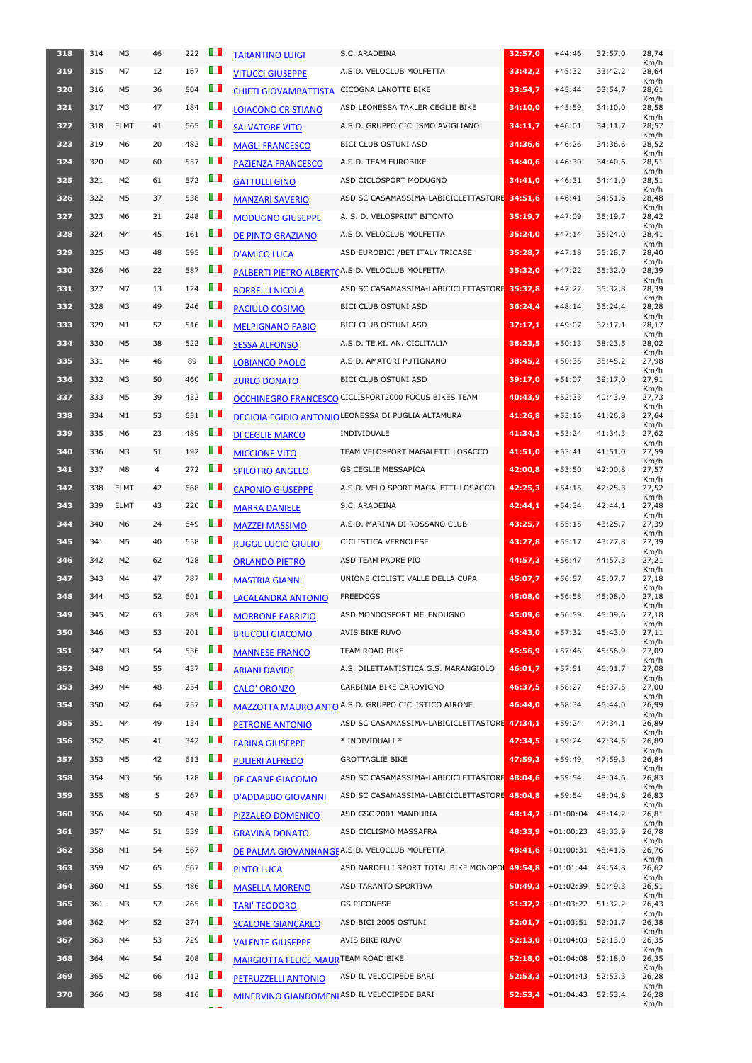| 318 | 314 | M <sub>3</sub> | 46             | 222 | O T            | <b>TARANTINO LUIGI</b>                     | S.C. ARADEINA                                                   | 32:57,0 | $+44:46$                           | 32:57,0 | 28,74<br>Km/h |
|-----|-----|----------------|----------------|-----|----------------|--------------------------------------------|-----------------------------------------------------------------|---------|------------------------------------|---------|---------------|
| 319 | 315 | M7             | 12             | 167 | $\blacksquare$ | <b>VITUCCI GIUSEPPE</b>                    | A.S.D. VELOCLUB MOLFETTA                                        | 33:42,2 | $+45:32$                           | 33:42,2 | 28,64         |
| 320 | 316 | M <sub>5</sub> | 36             | 504 | Œ              | <b>CHIETI GIOVAMBATTISTA</b>               | CICOGNA LANOTTE BIKE                                            | 33:54,7 | $+45:44$                           | 33:54,7 | Km/h<br>28,61 |
| 321 | 317 | M <sub>3</sub> | 47             | 184 | OП             | <b>LOIACONO CRISTIANO</b>                  | ASD LEONESSA TAKLER CEGLIE BIKE                                 | 34:10,0 | $+45:59$                           | 34:10,0 | Km/h<br>28,58 |
| 322 | 318 | <b>ELMT</b>    | 41             | 665 | <b>TI</b>      | <b>SALVATORE VITO</b>                      | A.S.D. GRUPPO CICLISMO AVIGLIANO                                | 34:11,7 | $+46:01$                           | 34:11,7 | Km/h<br>28,57 |
| 323 | 319 | M <sub>6</sub> | 20             | 482 | $\blacksquare$ | <b>MAGLI FRANCESCO</b>                     | BICI CLUB OSTUNI ASD                                            | 34:36,6 | $+46:26$                           | 34:36,6 | Km/h<br>28,52 |
| 324 | 320 | M <sub>2</sub> | 60             | 557 | m              | <b>PAZIENZA FRANCESCO</b>                  | A.S.D. TEAM EUROBIKE                                            | 34:40,6 | $+46:30$                           | 34:40,6 | Km/h<br>28,51 |
| 325 | 321 | M <sub>2</sub> | 61             | 572 | <b>TI</b>      | <b>GATTULLI GINO</b>                       | ASD CICLOSPORT MODUGNO                                          | 34:41,0 | $+46:31$                           | 34:41,0 | Km/h<br>28,51 |
| 326 | 322 | M <sub>5</sub> | 37             | 538 | <b>TI</b>      | <b>MANZARI SAVERIO</b>                     | ASD SC CASAMASSIMA-LABICICLETTASTORE 34:51,6                    |         | $+46:41$                           | 34:51,6 | Km/h<br>28,48 |
| 327 | 323 | M6             | 21             | 248 | ш              | <b>MODUGNO GIUSEPPE</b>                    | A. S. D. VELOSPRINT BITONTO                                     | 35:19,7 | $+47:09$                           | 35:19,7 | Km/h<br>28,42 |
| 328 | 324 | M4             | 45             | 161 | ш              | <b>DE PINTO GRAZIANO</b>                   | A.S.D. VELOCLUB MOLFETTA                                        | 35:24,0 | $+47:14$                           | 35:24,0 | Km/h<br>28,41 |
| 329 | 325 | M3             | 48             | 595 | <b>TI</b>      |                                            | ASD EUROBICI / BET ITALY TRICASE                                | 35:28,7 | $+47:18$                           | 35:28,7 | Km/h<br>28,40 |
| 330 | 326 | M6             | 22             | 587 | ш              | <b>D'AMICO LUCA</b>                        |                                                                 | 35:32,0 | $+47:22$                           | 35:32,0 | Km/h<br>28,39 |
|     |     |                |                |     | $\blacksquare$ |                                            | PALBERTI PIETRO ALBERTCA.S.D. VELOCLUB MOLFETTA                 |         |                                    |         | Km/h          |
| 331 | 327 | M7             | 13             | 124 | O D            | <b>BORRELLI NICOLA</b>                     | ASD SC CASAMASSIMA-LABICICLETTASTORE 35:32,8                    |         | $+47:22$                           | 35:32,8 | 28,39<br>Km/h |
| 332 | 328 | M <sub>3</sub> | 49             | 246 |                | PACIULO COSIMO                             | BICI CLUB OSTUNI ASD                                            | 36:24,4 | $+48:14$                           | 36:24,4 | 28,28<br>Km/h |
| 333 | 329 | M1             | 52             | 516 | <b>TI</b>      | <b>MELPIGNANO FABIO</b>                    | BICI CLUB OSTUNI ASD                                            | 37:17,1 | $+49:07$                           | 37:17,1 | 28,17<br>Km/h |
| 334 | 330 | M <sub>5</sub> | 38             | 522 | ш              | <b>SESSA ALFONSO</b>                       | A.S.D. TE.KI. AN. CICLITALIA                                    | 38:23,5 | $+50:13$                           | 38:23,5 | 28,02<br>Km/h |
| 335 | 331 | M4             | 46             | 89  | $\blacksquare$ | <b>LOBIANCO PAOLO</b>                      | A.S.D. AMATORI PUTIGNANO                                        | 38:45,2 | $+50:35$                           | 38:45,2 | 27,98<br>Km/h |
| 336 | 332 | M <sub>3</sub> | 50             | 460 | ш              | <b>ZURLO DONATO</b>                        | BICI CLUB OSTUNI ASD                                            | 39:17,0 | $+51:07$                           | 39:17,0 | 27,91<br>Km/h |
| 337 | 333 | M5             | 39             | 432 | Œ              |                                            | OCCHINEGRO FRANCESCO CICLISPORT2000 FOCUS BIKES TEAM            | 40:43,9 | $+52:33$                           | 40:43,9 | 27,73<br>Km/h |
| 338 | 334 | M1             | 53             | 631 | ш              |                                            | DEGIOIA EGIDIO ANTONIO LEONESSA DI PUGLIA ALTAMURA              | 41:26,8 | $+53:16$                           | 41:26,8 | 27,64<br>Km/h |
| 339 | 335 | M6             | 23             | 489 | H.             | <b>DI CEGLIE MARCO</b>                     | INDIVIDUALE                                                     | 41:34,3 | $+53:24$                           | 41:34,3 | 27,62<br>Km/h |
| 340 | 336 | M <sub>3</sub> | 51             | 192 | <b>II</b>      | <b>MICCIONE VITO</b>                       | TEAM VELOSPORT MAGALETTI LOSACCO                                | 41:51,0 | $+53:41$                           | 41:51,0 | 27,59<br>Km/h |
| 341 | 337 | M8             | $\overline{4}$ | 272 | <b>TI</b>      | <b>SPILOTRO ANGELO</b>                     | <b>GS CEGLIE MESSAPICA</b>                                      | 42:00,8 | $+53:50$                           | 42:00,8 | 27,57         |
| 342 | 338 | <b>ELMT</b>    | 42             | 668 | ш              | <b>CAPONIO GIUSEPPE</b>                    | A.S.D. VELO SPORT MAGALETTI-LOSACCO                             | 42:25,3 | $+54:15$                           | 42:25,3 | Km/h<br>27,52 |
| 343 | 339 | <b>ELMT</b>    | 43             | 220 | $\blacksquare$ | <b>MARRA DANIELE</b>                       | S.C. ARADEINA                                                   | 42:44,1 | $+54:34$                           | 42:44,1 | Km/h<br>27,48 |
| 344 | 340 | M <sub>6</sub> | 24             | 649 | m              | <b>MAZZEI MASSIMO</b>                      | A.S.D. MARINA DI ROSSANO CLUB                                   | 43:25,7 | $+55:15$                           | 43:25,7 | Km/h<br>27,39 |
| 345 | 341 | M <sub>5</sub> | 40             | 658 | O D            | <b>RUGGE LUCIO GIULIO</b>                  | CICLISTICA VERNOLESE                                            | 43:27,8 | $+55:17$                           | 43:27,8 | Km/h<br>27,39 |
| 346 | 342 | M <sub>2</sub> | 62             | 428 | ш              | <b>ORLANDO PIETRO</b>                      | ASD TEAM PADRE PIO                                              | 44:57,3 | $+56:47$                           | 44:57,3 | Km/h<br>27,21 |
| 347 | 343 | M4             | 47             | 787 | U I            | <b>MASTRIA GIANNI</b>                      | UNIONE CICLISTI VALLE DELLA CUPA                                | 45:07,7 | $+56:57$                           | 45:07,7 | Km/h<br>27,18 |
| 348 | 344 | M <sub>3</sub> | 52             | 601 | m              | <b>LACALANDRA ANTONIO</b>                  | <b>FREEDOGS</b>                                                 | 45:08,0 | $+56:58$                           | 45:08,0 | Km/h<br>27,18 |
| 349 | 345 | M <sub>2</sub> | 63             | 789 | OП             | <b>MORRONE FABRIZIO</b>                    | ASD MONDOSPORT MELENDUGNO                                       | 45:09,6 | $+56:59$                           | 45:09,6 | Km/h<br>27,18 |
| 350 | 346 | M <sub>3</sub> | 53             | 201 | OП             | <b>BRUCOLI GIACOMO</b>                     | AVIS BIKE RUVO                                                  | 45:43,0 | $+57:32$                           | 45:43,0 | Km/h<br>27,11 |
| 351 | 347 | M3             | 54             | 536 | ш              | <b>MANNESE FRANCO</b>                      | TEAM ROAD BIKE                                                  | 45:56,9 | $+57:46$                           | 45:56,9 | Km/h<br>27,09 |
| 352 | 348 | M <sub>3</sub> | 55             | 437 | OП             |                                            | A.S. DILETTANTISTICA G.S. MARANGIOLO                            | 46:01,7 | $+57:51$                           | 46:01,7 | Km/h<br>27,08 |
| 353 | 349 | M4             | 48             | 254 | <b>TI</b>      | <b>ARIANI DAVIDE</b>                       | CARBINIA BIKE CAROVIGNO                                         |         | $+58:27$                           | 46:37,5 | Km/h          |
|     |     |                |                |     | ш              | <b>CALO' ORONZO</b>                        |                                                                 | 46:37,5 |                                    |         | 27,00<br>Km/h |
| 354 | 350 | M <sub>2</sub> | 64             | 757 | IΙ             |                                            | MAZZOTTA MAURO ANTO A.S.D. GRUPPO CICLISTICO AIRONE             | 46:44,0 | $+58:34$                           | 46:44,0 | 26,99<br>Km/h |
| 355 | 351 | M4             | 49             | 134 |                | PETRONE ANTONIO                            | ASD SC CASAMASSIMA-LABICICLETTASTORE 47:34,1                    |         | $+59:24$                           | 47:34,1 | 26,89<br>Km/h |
| 356 | 352 | M5             | 41             | 342 | OП             | <b>FARINA GIUSEPPE</b>                     | * INDIVIDUALI *                                                 | 47:34,5 | $+59:24$                           | 47:34,5 | 26,89<br>Km/h |
| 357 | 353 | M <sub>5</sub> | 42             | 613 | $\blacksquare$ | <b>PULIERI ALFREDO</b>                     | <b>GROTTAGLIE BIKE</b>                                          | 47:59,3 | $+59:49$                           | 47:59,3 | 26,84<br>Km/h |
| 358 | 354 | M <sub>3</sub> | 56             | 128 | m              | <b>DE CARNE GIACOMO</b>                    | ASD SC CASAMASSIMA-LABICICLETTASTORE <sup>48:04,6</sup>         |         | $+59:54$                           | 48:04,6 | 26,83<br>Km/h |
| 359 | 355 | M8             | 5              | 267 | <b>TI</b>      | <b>D'ADDABBO GIOVANNI</b>                  | ASD SC CASAMASSIMA-LABICICLETTASTORE 48:04,8                    |         | $+59:54$                           | 48:04,8 | 26,83<br>Km/h |
| 360 | 356 | M4             | 50             | 458 | OП             | PIZZALEO DOMENICO                          | ASD GSC 2001 MANDURIA                                           | 48:14,2 | $+01:00:04$                        | 48:14,2 | 26,81<br>Km/h |
| 361 | 357 | M4             | 51             | 539 | O D            | <b>GRAVINA DONATO</b>                      | ASD CICLISMO MASSAFRA                                           | 48:33,9 | $+01:00:23$ 48:33,9                |         | 26,78<br>Km/h |
| 362 |     |                | 358 M1 54 567  |     |                |                                            | DE PALMA GIOVANNANGE A.S.D. VELOCLUB MOLFETTA                   |         | $48:41,6$ +01:00:31 48:41,6        |         | 26,76<br>Km/h |
| 363 | 359 | M <sub>2</sub> | 65             | 667 | ш              | <b>PINTO LUCA</b>                          | ASD NARDELLI SPORT TOTAL BIKE MONOPOL 49:54,8 +01:01:44 49:54,8 |         |                                    |         | 26,62<br>Km/h |
| 364 | 360 | M1             | 55             | 486 | O D            | <b>MASELLA MORENO</b>                      | ASD TARANTO SPORTIVA                                            |         | $\textbf{50:49,3} \quad +01:02:39$ | 50:49,3 | 26,51         |
| 365 | 361 | M3             | 57             | 265 | $\blacksquare$ | <b>TARI' TEODORO</b>                       | <b>GS PICONESE</b>                                              |         | 51:32,2 + 01:03:22 51:32,2         |         | Km/h<br>26,43 |
| 366 | 362 | M4             | 52             | 274 | H              | <b>SCALONE GIANCARLO</b>                   | ASD BICI 2005 OSTUNI                                            |         | 52:01,7 + 01:03:51 52:01,7         |         | Km/h<br>26,38 |
| 367 | 363 | M4             | 53             | 729 | $\blacksquare$ | <b>VALENTE GIUSEPPE</b>                    | AVIS BIKE RUVO                                                  |         | $\textbf{52:13,0} \quad +01:04:03$ | 52:13,0 | Km/h<br>26,35 |
| 368 | 364 | M4             | 54             | 208 | $\blacksquare$ | MARGIOTTA FELICE MAUR TEAM ROAD BIKE       |                                                                 |         | 52:18,0 + 01:04:08                 | 52:18,0 | Km/h<br>26,35 |
| 369 | 365 | M2             | 66             | 412 | O D            | PETRUZZELLI ANTONIO                        | ASD IL VELOCIPEDE BARI                                          |         | 52:53,3 +01:04:43 52:53,3          |         | Km/h<br>26,28 |
| 370 | 366 | M3             | 58             | 416 | <b>II</b>      | MINERVINO GIANDOMENIASD IL VELOCIPEDE BARI |                                                                 |         | 52:53,4 + 01:04:43 52:53,4         |         | Km/h<br>26,28 |
|     |     |                |                |     |                |                                            |                                                                 |         |                                    |         | Km/h          |